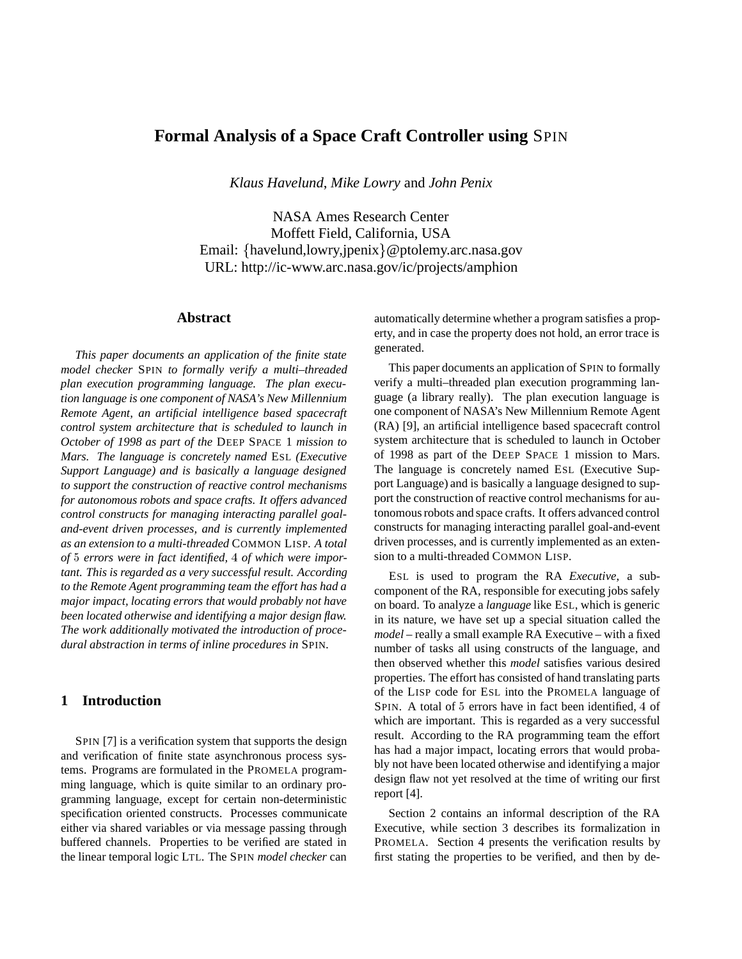# **Formal Analysis of a Space Craft Controller using** SPIN

*Klaus Havelund*, *Mike Lowry* and *John Penix*

NASA Ames Research Center Moffett Field, California, USA Email: {havelund,lowry,jpenix}@ptolemy.arc.nasa.gov URL: http://ic-www.arc.nasa.gov/ic/projects/amphion

## **Abstract**

*This paper documents an application of the finite state model checker* SPIN *to formally verify a multi–threaded plan execution programming language. The plan execution language is one component of NASA's New Millennium Remote Agent, an artificial intelligence based spacecraft control system architecture that is scheduled to launch in October of 1998 as part of the* DEEP SPACE 1 *mission to Mars. The language is concretely named* ESL *(Executive Support Language) and is basically a language designed to support the construction of reactive control mechanisms for autonomous robots and space crafts. It offers advanced control constructs for managing interacting parallel goaland-event driven processes, and is currently implemented as an extension to a multi-threaded* COMMON LISP*. A total of* <sup>5</sup> *errors were in fact identified,* <sup>4</sup> *of which were important. This is regarded as a very successful result. According to the Remote Agent programming team the effort has had a major impact, locating errors that would probably not have been located otherwise and identifying a major design flaw. The work additionally motivated the introduction of procedural abstraction in terms of inline procedures in* SPIN*.*

# **1 Introduction**

SPIN [7] is a verification system that supports the design and verification of finite state asynchronous process systems. Programs are formulated in the PROMELA programming language, which is quite similar to an ordinary programming language, except for certain non-deterministic specification oriented constructs. Processes communicate either via shared variables or via message passing through buffered channels. Properties to be verified are stated in the linear temporal logic LTL. The SPIN *model checker* can

automatically determine whether a program satisfies a property, and in case the property does not hold, an error trace is generated.

This paper documents an application of SPIN to formally verify a multi–threaded plan execution programming language (a library really). The plan execution language is one component of NASA's New Millennium Remote Agent (RA) [9], an artificial intelligence based spacecraft control system architecture that is scheduled to launch in October of 1998 as part of the DEEP SPACE 1 mission to Mars. The language is concretely named ESL (Executive Support Language) and is basically a language designed to support the construction of reactive control mechanisms for autonomous robots and space crafts. It offers advanced control constructs for managing interacting parallel goal-and-event driven processes, and is currently implemented as an extension to a multi-threaded COMMON LISP.

ESL is used to program the RA *Executive*, a subcomponent of the RA, responsible for executing jobs safely on board. To analyze a *language* like ESL, which is generic in its nature, we have set up a special situation called the *model* – really a small example RA Executive – with a fixed number of tasks all using constructs of the language, and then observed whether this *model* satisfies various desired properties. The effort has consisted of hand translating parts of the LISP code for ESL into the PROMELA language of SPIN. A total of <sup>5</sup> errors have in fact been identified, <sup>4</sup> of which are important. This is regarded as a very successful result. According to the RA programming team the effort has had a major impact, locating errors that would probably not have been located otherwise and identifying a major design flaw not yet resolved at the time of writing our first report [4].

Section 2 contains an informal description of the RA Executive, while section 3 describes its formalization in PROMELA. Section 4 presents the verification results by first stating the properties to be verified, and then by de-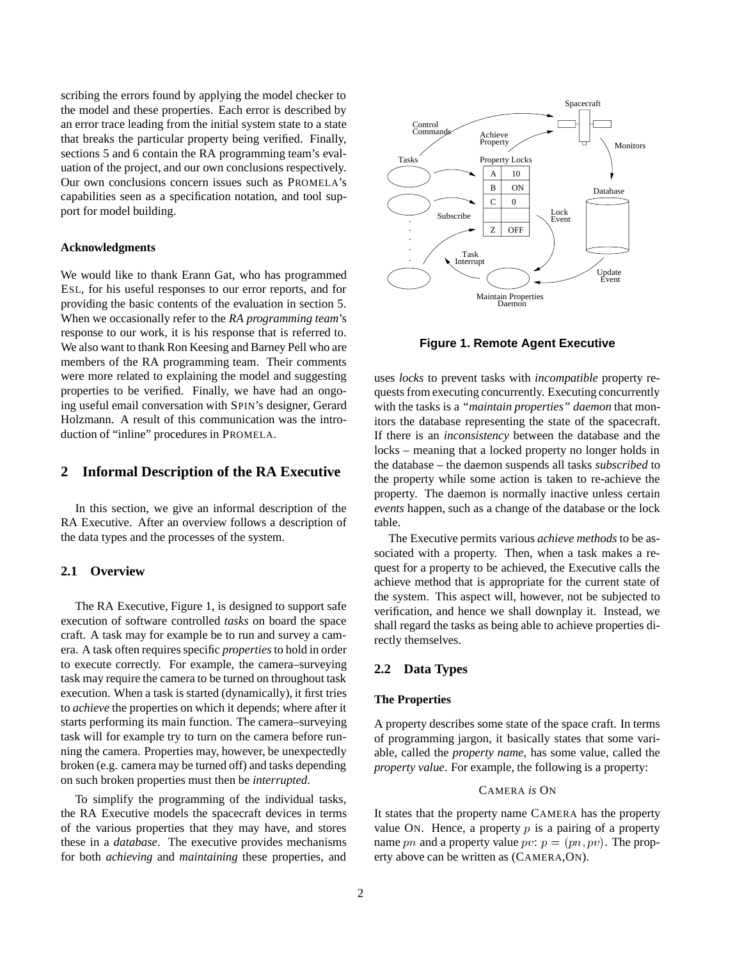scribing the errors found by applying the model checker to the model and these properties. Each error is described by an error trace leading from the initial system state to a state that breaks the particular property being verified. Finally, sections 5 and 6 contain the RA programming team's evaluation of the project, and our own conclusions respectively. Our own conclusions concern issues such as PROMELA's capabilities seen as a specification notation, and tool support for model building.

#### **Acknowledgments**

We would like to thank Erann Gat, who has programmed ESL, for his useful responses to our error reports, and for providing the basic contents of the evaluation in section 5. When we occasionally refer to the *RA programming team*'s response to our work, it is his response that is referred to. We also want to thank Ron Keesing and Barney Pell who are members of the RA programming team. Their comments were more related to explaining the model and suggesting properties to be verified. Finally, we have had an ongoing useful email conversation with SPIN's designer, Gerard Holzmann. A result of this communication was the introduction of "inline" procedures in PROMELA.

# **2 Informal Description of the RA Executive**

In this section, we give an informal description of the RA Executive. After an overview follows a description of the data types and the processes of the system.

# **2.1 Overview**

The RA Executive, Figure 1, is designed to support safe execution of software controlled *tasks* on board the space craft. A task may for example be to run and survey a camera. A task often requires specific *properties*to hold in order to execute correctly. For example, the camera–surveying task may require the camera to be turned on throughout task execution. When a task is started (dynamically), it first tries to *achieve* the properties on which it depends; where after it starts performing its main function. The camera–surveying task will for example try to turn on the camera before running the camera. Properties may, however, be unexpectedly broken (e.g. camera may be turned off) and tasks depending on such broken properties must then be *interrupted*.

To simplify the programming of the individual tasks, the RA Executive models the spacecraft devices in terms of the various properties that they may have, and stores these in a *database*. The executive provides mechanisms for both *achieving* and *maintaining* these properties, and



**Figure 1. Remote Agent Executive**

uses *locks* to prevent tasks with *incompatible* property requests from executing concurrently. Executing concurrently with the tasks is a *"maintain properties" daemon* that monitors the database representing the state of the spacecraft. If there is an *inconsistency* between the database and the locks – meaning that a locked property no longer holds in the database – the daemon suspends all tasks *subscribed* to the property while some action is taken to re-achieve the property. The daemon is normally inactive unless certain *events* happen, such as a change of the database or the lock table.

The Executive permits various *achieve methods* to be associated with a property. Then, when a task makes a request for a property to be achieved, the Executive calls the achieve method that is appropriate for the current state of the system. This aspect will, however, not be subjected to verification, and hence we shall downplay it. Instead, we shall regard the tasks as being able to achieve properties directly themselves.

## **2.2 Data Types**

#### **The Properties**

A property describes some state of the space craft. In terms of programming jargon, it basically states that some variable, called the *property name*, has some value, called the *property value*. For example, the following is a property:

### CAMERA *is* ON

It states that the property name CAMERA has the property value ON. Hence, a property  $p$  is a pairing of a property name pn and a property value pv:  $p = (pn, pv)$ . The property above can be written as (CAMERA,ON).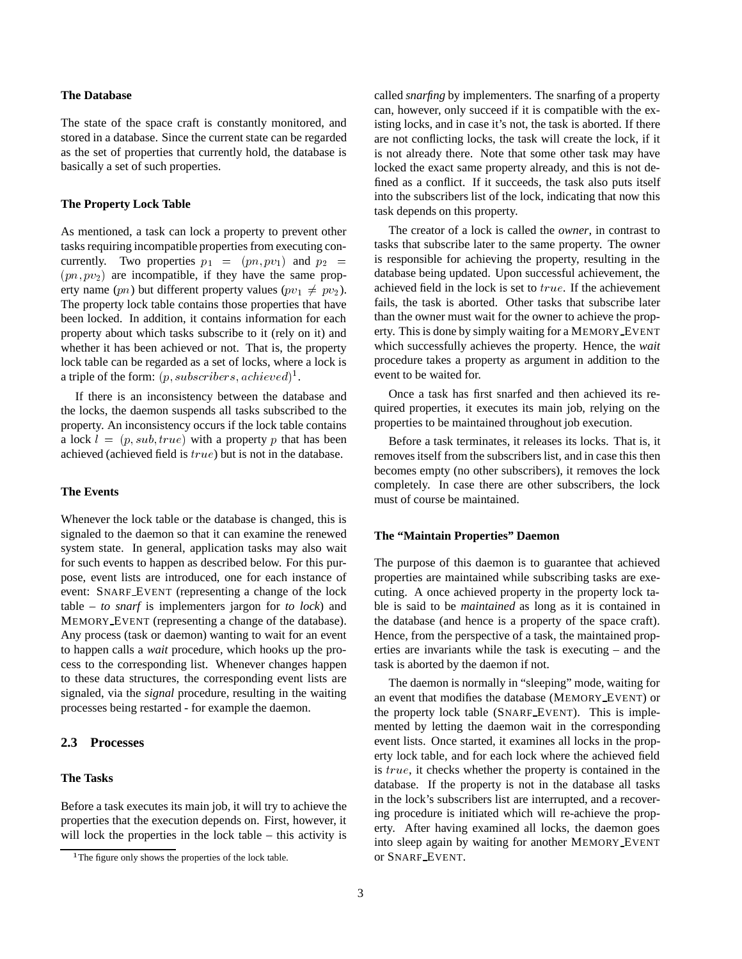### **The Database**

The state of the space craft is constantly monitored, and stored in a database. Since the current state can be regarded as the set of properties that currently hold, the database is basically a set of such properties.

#### **The Property Lock Table**

As mentioned, a task can lock a property to prevent other tasks requiring incompatible properties from executing concurrently. Two properties  $p_1 = (pn, pv_1)$  and  $p_2 =$  $(pn, pv_2)$  are incompatible, if they have the same property name (pn) but different property values ( $pv_1 \neq pv_2$ ). The property lock table contains those properties that have been locked. In addition, it contains information for each property about which tasks subscribe to it (rely on it) and whether it has been achieved or not. That is, the property lock table can be regarded as a set of locks, where a lock is a triple of the form:  $(p,subscripts, achieved)^1$ .

If there is an inconsistency between the database and the locks, the daemon suspends all tasks subscribed to the property. An inconsistency occurs if the lock table contains a lock  $l = (p, sub, true)$  with a property p that has been achieved (achieved field is true) but is not in the database.

### **The Events**

Whenever the lock table or the database is changed, this is signaled to the daemon so that it can examine the renewed system state. In general, application tasks may also wait for such events to happen as described below. For this purpose, event lists are introduced, one for each instance of event: SNARF EVENT (representing a change of the lock table – *to snarf* is implementers jargon for *to lock*) and MEMORY EVENT (representing a change of the database). Any process (task or daemon) wanting to wait for an event to happen calls a *wait* procedure, which hooks up the process to the corresponding list. Whenever changes happen to these data structures, the corresponding event lists are signaled, via the *signal* procedure, resulting in the waiting processes being restarted - for example the daemon.

### **2.3 Processes**

### **The Tasks**

Before a task executes its main job, it will try to achieve the properties that the execution depends on. First, however, it will lock the properties in the lock table – this activity is called *snarfing* by implementers. The snarfing of a property can, however, only succeed if it is compatible with the existing locks, and in case it's not, the task is aborted. If there are not conflicting locks, the task will create the lock, if it is not already there. Note that some other task may have locked the exact same property already, and this is not defined as a conflict. If it succeeds, the task also puts itself into the subscribers list of the lock, indicating that now this task depends on this property.

The creator of a lock is called the *owner*, in contrast to tasks that subscribe later to the same property. The owner is responsible for achieving the property, resulting in the database being updated. Upon successful achievement, the achieved field in the lock is set to true. If the achievement fails, the task is aborted. Other tasks that subscribe later than the owner must wait for the owner to achieve the property. This is done by simply waiting for a MEMORY EVENT which successfully achieves the property. Hence, the *wait* procedure takes a property as argument in addition to the event to be waited for.

Once a task has first snarfed and then achieved its required properties, it executes its main job, relying on the properties to be maintained throughout job execution.

Before a task terminates, it releases its locks. That is, it removes itself from the subscribers list, and in case this then becomes empty (no other subscribers), it removes the lock completely. In case there are other subscribers, the lock must of course be maintained.

#### **The "Maintain Properties" Daemon**

The purpose of this daemon is to guarantee that achieved properties are maintained while subscribing tasks are executing. A once achieved property in the property lock table is said to be *maintained* as long as it is contained in the database (and hence is a property of the space craft). Hence, from the perspective of a task, the maintained properties are invariants while the task is executing – and the task is aborted by the daemon if not.

The daemon is normally in "sleeping" mode, waiting for an event that modifies the database (MEMORY EVENT) or the property lock table (SNARF EVENT). This is implemented by letting the daemon wait in the corresponding event lists. Once started, it examines all locks in the property lock table, and for each lock where the achieved field is true, it checks whether the property is contained in the database. If the property is not in the database all tasks in the lock's subscribers list are interrupted, and a recovering procedure is initiated which will re-achieve the property. After having examined all locks, the daemon goes into sleep again by waiting for another MEMORY EVENT or SNARF EVENT.

<sup>&</sup>lt;sup>1</sup>The figure only shows the properties of the lock table.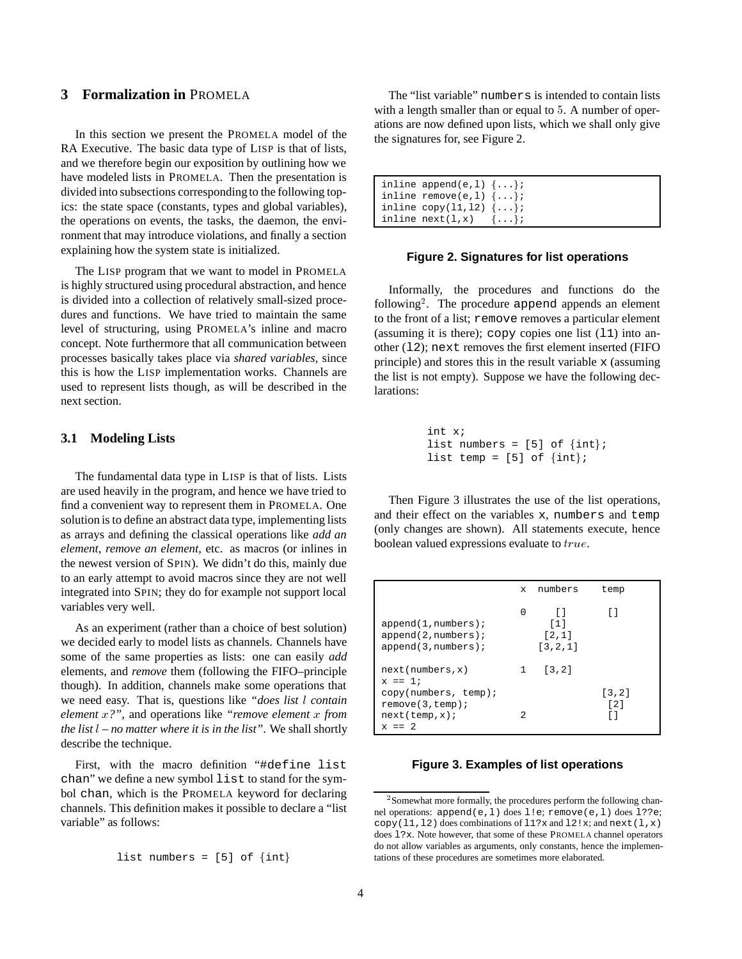# **3 Formalization in** PROMELA

In this section we present the PROMELA model of the RA Executive. The basic data type of LISP is that of lists, and we therefore begin our exposition by outlining how we have modeled lists in PROMELA. Then the presentation is divided into subsections corresponding to the following topics: the state space (constants, types and global variables), the operations on events, the tasks, the daemon, the environment that may introduce violations, and finally a section explaining how the system state is initialized.

The LISP program that we want to model in PROMELA is highly structured using procedural abstraction, and hence is divided into a collection of relatively small-sized procedures and functions. We have tried to maintain the same level of structuring, using PROMELA's inline and macro concept. Note furthermore that all communication between processes basically takes place via *shared variables*, since this is how the LISP implementation works. Channels are used to represent lists though, as will be described in the next section.

# **3.1 Modeling Lists**

The fundamental data type in LISP is that of lists. Lists are used heavily in the program, and hence we have tried to find a convenient way to represent them in PROMELA. One solution is to define an abstract data type, implementing lists as arrays and defining the classical operations like *add an element*, *remove an element*, etc. as macros (or inlines in the newest version of SPIN). We didn't do this, mainly due to an early attempt to avoid macros since they are not well integrated into SPIN; they do for example not support local variables very well.

As an experiment (rather than a choice of best solution) we decided early to model lists as channels. Channels have some of the same properties as lists: one can easily *add* elements, and *remove* them (following the FIFO–principle though). In addition, channels make some operations that we need easy. That is, questions like *"does list* <sup>l</sup> *contain element* <sup>x</sup>*?"*, and operations like *"remove element* <sup>x</sup> *from the list* <sup>l</sup> *– no matter where it is in the list"*. We shall shortly describe the technique.

First, with the macro definition "#define list chan" we define a new symbol list to stand for the symbol chan, which is the PROMELA keyword for declaring channels. This definition makes it possible to declare a "list variable" as follows:

```
list numbers = [5] of \{int\}
```
The "list variable" numbers is intended to contain lists with a length smaller than or equal to <sup>5</sup>. A number of operations are now defined upon lists, which we shall only give the signatures for, see Figure 2.

| inline append(e, 1) $\{ \ldots \}$  |  |
|-------------------------------------|--|
| inline remove(e,1) $\{ \ldots \}$ ; |  |
| inline $copy(11,12)$ $\{ \ldots \}$ |  |
| inline $next(1,x) \{ \ldots \}$     |  |

#### **Figure 2. Signatures for list operations**

Informally, the procedures and functions do the following<sup>2</sup>. The procedure append appends an element to the front of a list; remove removes a particular element (assuming it is there);  $copy$  copies one list  $(11)$  into another  $(12)$ ; next removes the first element inserted (FIFO) principle) and stores this in the result variable x (assuming the list is not empty). Suppose we have the following declarations:

```
int x;
list numbers = [5] of \{int\};
list temp = [5] of \{int\};
```
Then Figure 3 illustrates the use of the list operations, and their effect on the variables x, numbers and temp (only changes are shown). All statements execute, hence boolean valued expressions evaluate to true.

|                                                                            | X            | numbers                                 | temp          |
|----------------------------------------------------------------------------|--------------|-----------------------------------------|---------------|
| $append(1, numbers)$ ;<br>$append(2, numbers)$ ;<br>$append(3, numbers)$ ; | O            | $\lceil$ 1<br>[1]<br>[2,1]<br>[3, 2, 1] |               |
| next(numbers, x)<br>$x == 1;$                                              | $\mathbf{1}$ | $\lceil 3.2 \rceil$                     |               |
| copy(numbers, temp);<br>remove(3, temp);<br>next(temp, x);<br>$x == 2$     | 2            |                                         | [3, 2]<br>[2] |

#### **Figure 3. Examples of list operations**

<sup>&</sup>lt;sup>2</sup> Somewhat more formally, the procedures perform the following channel operations: append(e,l) does l!e; remove(e,l) does l??e;  $copy(11,12)$  does combinations of  $11?x$  and  $12!x$ ; and next(l,x) does l?x. Note however, that some of these PROMELA channel operators do not allow variables as arguments, only constants, hence the implementations of these procedures are sometimes more elaborated.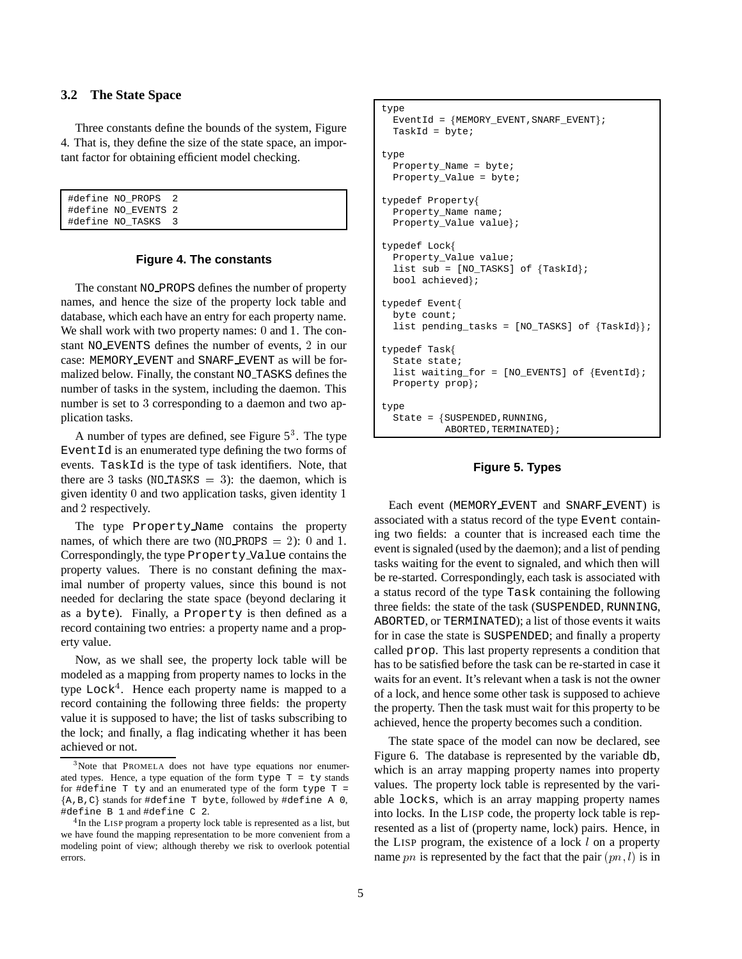### **3.2 The State Space**

Three constants define the bounds of the system, Figure 4. That is, they define the size of the state space, an important factor for obtaining efficient model checking.

```
#define NO_PROPS 2
#define NO_EVENTS 2
#define NO_TASKS 3
```
### **Figure 4. The constants**

The constant NO PROPS defines the number of property names, and hence the size of the property lock table and database, which each have an entry for each property name. We shall work with two property names: 0 and 1. The constant NO EVENTS defines the number of events, <sup>2</sup> in our case: MEMORY EVENT and SNARF EVENT as will be formalized below. Finally, the constant NO TASKS defines the number of tasks in the system, including the daemon. This number is set to <sup>3</sup> corresponding to a daemon and two application tasks.

A number of types are defined, see Figure  $5<sup>3</sup>$ . The type Event Id is an enumerated type defining the two forms of events. TaskId is the type of task identifiers. Note, that there are 3 tasks ( $NO\_TASKS = 3$ ): the daemon, which is given identity <sup>0</sup> and two application tasks, given identity <sup>1</sup> and <sup>2</sup> respectively.

The type Property Name contains the property names, of which there are two ( $NO$ -PROPS = 2): 0 and 1. Correspondingly, the type Property Value contains the property values. There is no constant defining the maximal number of property values, since this bound is not needed for declaring the state space (beyond declaring it as a byte). Finally, a Property is then defined as a record containing two entries: a property name and a property value.

Now, as we shall see, the property lock table will be modeled as a mapping from property names to locks in the type  $Lock<sup>4</sup>$ . Hence each property name is mapped to a record containing the following three fields: the property value it is supposed to have; the list of tasks subscribing to the lock; and finally, a flag indicating whether it has been achieved or not.

```
type
  EventId = {MEMORY\_EVENT, SNARF\_EVENT};TaskId = byte;
type
  Property_Name = byte;
  Property_Value = byte;
typedef Propertyf
  Property_Name name;
  Property_Value value};
typedef Lockf
  Property_Value value;
  list sub = [NO_TASKS] of {TaskId};bool achieved;
typedef Event{
 byte count;
  list pending_tasks = [NO_TASKS] of {TaskId};
typedef Taskf
  State state;
  list waiting_for = [NO_EVENTS] of {EventId};
  Property prop};
type
  State = fSUSPENDED,RUNNING,
           ABORTED, TERMINATED};
```
# **Figure 5. Types**

Each event (MEMORY EVENT and SNARF EVENT) is associated with a status record of the type Event containing two fields: a counter that is increased each time the event is signaled (used by the daemon); and a list of pending tasks waiting for the event to signaled, and which then will be re-started. Correspondingly, each task is associated with a status record of the type Task containing the following three fields: the state of the task (SUSPENDED, RUNNING, ABORTED, or TERMINATED); a list of those events it waits for in case the state is SUSPENDED; and finally a property called prop. This last property represents a condition that has to be satisfied before the task can be re-started in case it waits for an event. It's relevant when a task is not the owner of a lock, and hence some other task is supposed to achieve the property. Then the task must wait for this property to be achieved, hence the property becomes such a condition.

The state space of the model can now be declared, see Figure 6. The database is represented by the variable db, which is an array mapping property names into property values. The property lock table is represented by the variable locks, which is an array mapping property names into locks. In the LISP code, the property lock table is represented as a list of (property name, lock) pairs. Hence, in the LISP program, the existence of a lock <sup>l</sup> on a property name pn is represented by the fact that the pair  $(pn, l)$  is in

<sup>&</sup>lt;sup>3</sup>Note that PROMELA does not have type equations nor enumerated types. Hence, a type equation of the form type  $T = ty$  stands for #define  $T$  ty and an enumerated type of the form type  $T =$  ${A,B,C}$  stands for #define T byte, followed by #define A 0, #define B 1 and #define C 2.

<sup>&</sup>lt;sup>4</sup>In the LISP program a property lock table is represented as a list, but we have found the mapping representation to be more convenient from a modeling point of view; although thereby we risk to overlook potential errors.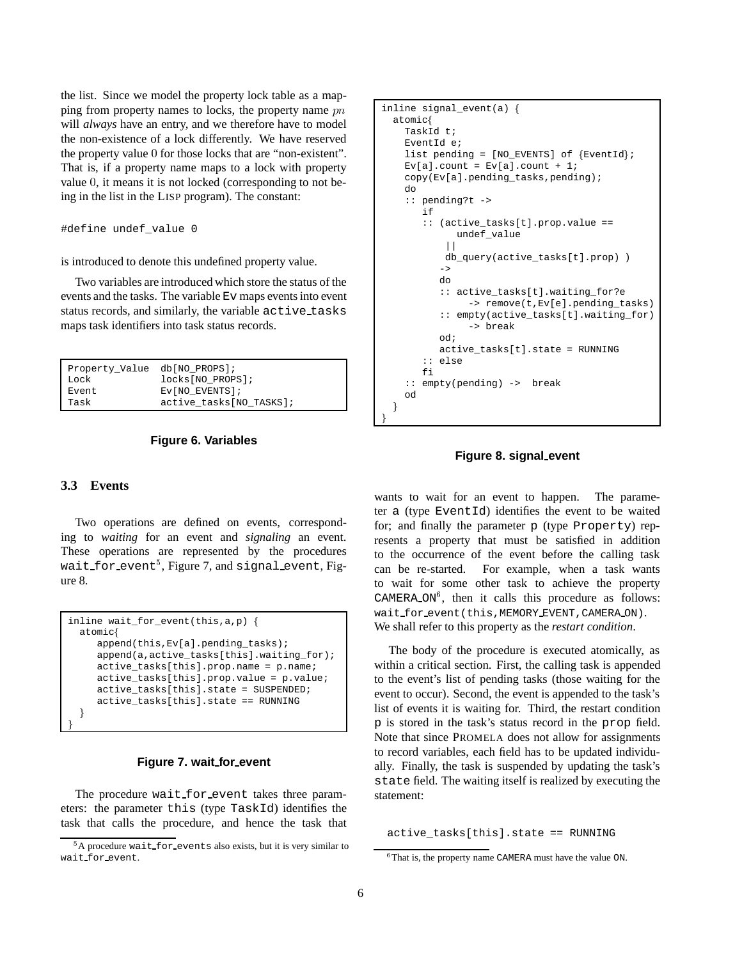the list. Since we model the property lock table as a mapping from property names to locks, the property name pn will *always* have an entry, and we therefore have to model the non-existence of a lock differently. We have reserved the property value <sup>0</sup> for those locks that are "non-existent". That is, if a property name maps to a lock with property value <sup>0</sup>, it means it is not locked (corresponding to not being in the list in the LISP program). The constant:

```
#define undef_value 0
```
is introduced to denote this undefined property value.

Two variables are introduced which store the status of the events and the tasks. The variable Ev maps events into event status records, and similarly, the variable active tasks maps task identifiers into task status records.

| Property_Value db[NO_PROPS]; |                          |
|------------------------------|--------------------------|
| Lock                         | locks[NO PROPS];         |
| Event                        | $Ev[NO$ EVENTS];         |
| Task                         | active tasks [NO TASKS]; |
|                              |                          |

### **Figure 6. Variables**

# **3.3 Events**

Two operations are defined on events, corresponding to *waiting* for an event and *signaling* an event. These operations are represented by the procedures wait\_for\_event<sup>5</sup>, Figure 7, and signal\_event, Figure 8.

```
inline wait_for_event(this,a,p) f
 atomicf
    append(this,Ev[a].pending_tasks);
    append(a,active_tasks[this].waiting_for);
    active_tasks[this].prop.name = p.name;
    active_tasks[this].prop.value = p.value;
    active_tasks[this].state = SUSPENDED;
    active_tasks[this].state == RUNNING
  \}\} and \}
```
# **Figure 7. wait for event**

The procedure wait for event takes three parameters: the parameter this (type TaskId) identifies the task that calls the procedure, and hence the task that

```
inline signal_event(a) f
 atomicf
   TaskId t;
   EventId e;
   list pending = [NO_EVENTS] of {EventId};
    Ev[a].count = Ev[a].count + 1;
   copy(Ev[a].pending_tasks,pending);
   do
    :: pending?t ->
       if
       :: (active_tasks[t].prop.value ==
             undef_value
           |||db_query(active_tasks[t].prop) )
          \rightarrowdo
          :: active_tasks[t].waiting_for?e
               -> remove(t,Ev[e].pending_tasks)
          :: empty(active_tasks[t].waiting_for)
               -> break
          od;
         active_tasks[t].state = RUNNING
       :: else
      f_i:: empty(pending) -> break
   od
  \}\}
```
### **Figure 8. signal event**

wants to wait for an event to happen. The parameter a (type EventId) identifies the event to be waited for; and finally the parameter p (type Property) represents a property that must be satisfied in addition to the occurrence of the event before the calling task can be re-started. For example, when a task wants to wait for some other task to achieve the property CAMERA ON<sup>6</sup>, then it calls this procedure as follows: wait for event (this, MEMORY EVENT, CAMERA ON). We shall refer to this property as the *restart condition*.

The body of the procedure is executed atomically, as within a critical section. First, the calling task is appended to the event's list of pending tasks (those waiting for the event to occur). Second, the event is appended to the task's list of events it is waiting for. Third, the restart condition p is stored in the task's status record in the prop field. Note that since PROMELA does not allow for assignments to record variables, each field has to be updated individually. Finally, the task is suspended by updating the task's state field. The waiting itself is realized by executing the statement:

active\_tasks[this].state == RUNNING

<sup>&</sup>lt;sup>5</sup>A procedure wait\_for\_events also exists, but it is very similar to wait for event.

<sup>&</sup>lt;sup>6</sup>That is, the property name CAMERA must have the value ON.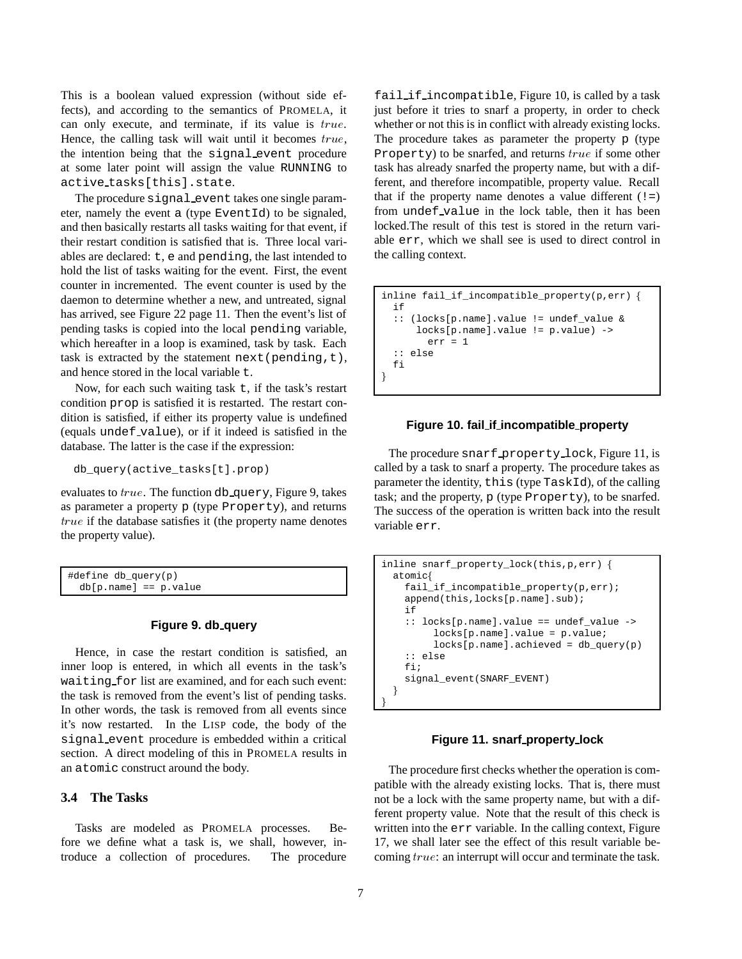This is a boolean valued expression (without side effects), and according to the semantics of PROMELA, it can only execute, and terminate, if its value is true. Hence, the calling task will wait until it becomes  $true$ , the intention being that the signal event procedure at some later point will assign the value RUNNING to active tasks[this].state.

The procedure signal event takes one single parameter, namely the event a (type EventId) to be signaled, and then basically restarts all tasks waiting for that event, if their restart condition is satisfied that is. Three local variables are declared: t, e and pending, the last intended to hold the list of tasks waiting for the event. First, the event counter in incremented. The event counter is used by the daemon to determine whether a new, and untreated, signal has arrived, see Figure 22 page 11. Then the event's list of pending tasks is copied into the local pending variable, which hereafter in a loop is examined, task by task. Each task is extracted by the statement next (pending,  $t$ ), and hence stored in the local variable t.

Now, for each such waiting task  $t$ , if the task's restart condition prop is satisfied it is restarted. The restart condition is satisfied, if either its property value is undefined (equals undef value), or if it indeed is satisfied in the database. The latter is the case if the expression:

db\_query(active\_tasks[t].prop)

evaluates to  $true$ . The function db query, Figure 9, takes as parameter a property p (type Property), and returns true if the database satisfies it (the property name denotes the property value).

| #define db_query(p)     |  |
|-------------------------|--|
| $db[p.name] == p.value$ |  |

# **Figure 9. db query**

Hence, in case the restart condition is satisfied, an inner loop is entered, in which all events in the task's waiting for list are examined, and for each such event: the task is removed from the event's list of pending tasks. In other words, the task is removed from all events since it's now restarted. In the LISP code, the body of the signal event procedure is embedded within a critical section. A direct modeling of this in PROMELA results in an atomic construct around the body.

### **3.4 The Tasks**

Tasks are modeled as PROMELA processes. Before we define what a task is, we shall, however, introduce a collection of procedures. The procedure fail if incompatible, Figure 10, is called by a task just before it tries to snarf a property, in order to check whether or not this is in conflict with already existing locks. The procedure takes as parameter the property p (type Property) to be snarfed, and returns true if some other task has already snarfed the property name, but with a different, and therefore incompatible, property value. Recall that if the property name denotes a value different  $(!=)$ from undef value in the lock table, then it has been locked.The result of this test is stored in the return variable err, which we shall see is used to direct control in the calling context.

```
inline fail_if_incompatible_property(p,err) {
  if
  :: (locks[p.name].value != undef_value &
     locks[p.name].value != p.value) ->
       err = 1:: else
  fi
\}
```
# **Figure 10. fail if incompatible property**

The procedure snarf property lock, Figure 11, is called by a task to snarf a property. The procedure takes as parameter the identity, this (type TaskId), of the calling task; and the property, p (type Property), to be snarfed. The success of the operation is written back into the result variable err.

```
inline snarf_property_lock(this,p,err) f
  atomicf
    fail_if_incompatible_property(p,err);
   append(this,locks[p.name].sub);
    if
    :: locks[p.name].value == undef_value ->
        locks[p.name].value = p.value;
        locks[p.name].achieved = db_query(p)
    :: else
    fi;
    signal_event(SNARF_EVENT)
  \}\}
```
### **Figure 11. snarf property lock**

The procedure first checks whether the operation is compatible with the already existing locks. That is, there must not be a lock with the same property name, but with a different property value. Note that the result of this check is written into the err variable. In the calling context, Figure 17, we shall later see the effect of this result variable becoming true: an interrupt will occur and terminate the task.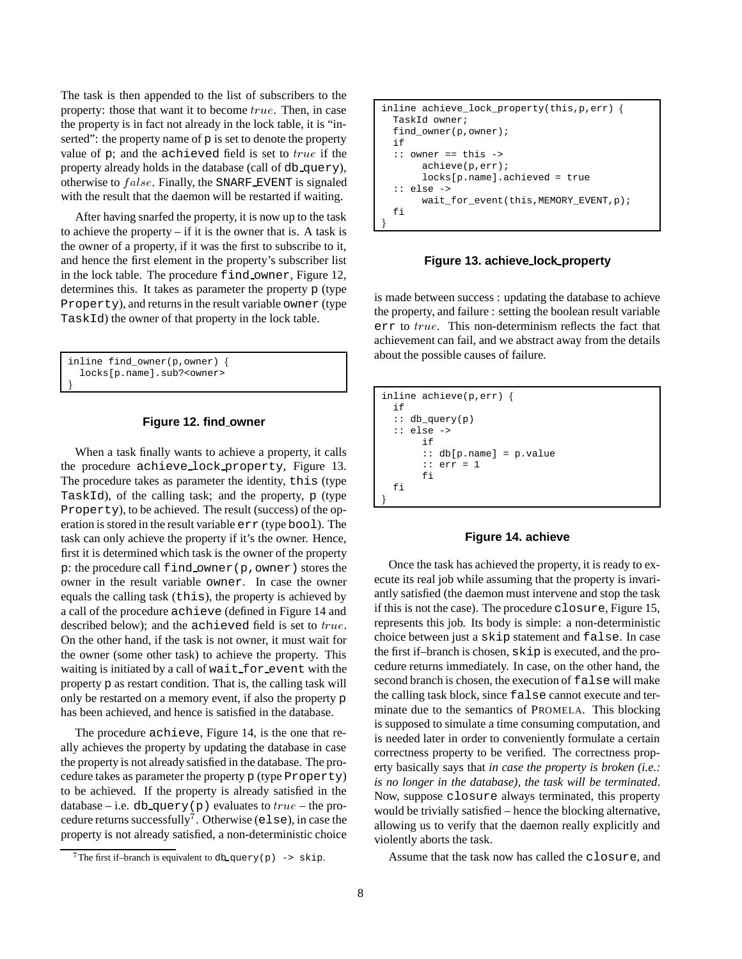The task is then appended to the list of subscribers to the property: those that want it to become true. Then, in case the property is in fact not already in the lock table, it is "inserted": the property name of  $p$  is set to denote the property value of  $p$ ; and the achieved field is set to  $true$  if the property already holds in the database (call of db query), otherwise to  $false$ . Finally, the SNARF EVENT is signaled with the result that the daemon will be restarted if waiting.

After having snarfed the property, it is now up to the task to achieve the property  $-$  if it is the owner that is. A task is the owner of a property, if it was the first to subscribe to it, and hence the first element in the property's subscriber list in the lock table. The procedure find owner, Figure 12, determines this. It takes as parameter the property p (type Property), and returns in the result variable owner (type TaskId) the owner of that property in the lock table.

```
inline find_owner(p,owner) {
  locks[p.name].sub?<owner>
\} and \}
```
### **Figure 12. find owner**

When a task finally wants to achieve a property, it calls the procedure achieve lock property, Figure 13. The procedure takes as parameter the identity, this (type TaskId), of the calling task; and the property,  $p$  (type Property), to be achieved. The result (success) of the operation is stored in the result variable err (type bool). The task can only achieve the property if it's the owner. Hence, first it is determined which task is the owner of the property p: the procedure call find owner(p,owner) stores the owner in the result variable owner. In case the owner equals the calling task (this), the property is achieved by a call of the procedure achieve (defined in Figure 14 and described below); and the achieved field is set to true. On the other hand, if the task is not owner, it must wait for the owner (some other task) to achieve the property. This waiting is initiated by a call of wait for event with the property p as restart condition. That is, the calling task will only be restarted on a memory event, if also the property p has been achieved, and hence is satisfied in the database.

The procedure achieve, Figure 14, is the one that really achieves the property by updating the database in case the property is not already satisfied in the database. The procedure takes as parameter the property p (type Property) to be achieved. If the property is already satisfied in the database – i.e. db query(p) evaluates to  $true$  – the procedure returns successfully<sup>7</sup>. Otherwise (else), in case the property is not already satisfied, a non-deterministic choice

```
inline achieve_lock_property(this, p, err) {
 TaskId owner;
 find_owner(p,owner);
 if
 :: owner == this ->
       achieve(p,err);
       locks[p.name].achieved = true
  :: else ->
       wait_for_event(this,MEMORY_EVENT,p);
 fi
\}
```
**Figure 13. achieve lock property**

is made between success : updating the database to achieve the property, and failure : setting the boolean result variable err to true. This non-determinism reflects the fact that achievement can fail, and we abstract away from the details about the possible causes of failure.

```
inline achieve(p,err) {
  if
  :: db_query(p)
  :: else ->
      if
       :: db[p.name] = p.value
       :: err = 1
       fi
  fi
\}
```
### **Figure 14. achieve**

Once the task has achieved the property, it is ready to execute its real job while assuming that the property is invariantly satisfied (the daemon must intervene and stop the task if this is not the case). The procedure closure, Figure 15, represents this job. Its body is simple: a non-deterministic choice between just a skip statement and false. In case the first if–branch is chosen, skip is executed, and the procedure returns immediately. In case, on the other hand, the second branch is chosen, the execution of false will make the calling task block, since false cannot execute and terminate due to the semantics of PROMELA. This blocking is supposed to simulate a time consuming computation, and is needed later in order to conveniently formulate a certain correctness property to be verified. The correctness property basically says that *in case the property is broken (i.e.: is no longer in the database), the task will be terminated*. Now, suppose closure always terminated, this property would be trivially satisfied – hence the blocking alternative, allowing us to verify that the daemon really explicitly and violently aborts the task.

Assume that the task now has called the closure, and

The first if-branch is equivalent to db query(p)  $\rightarrow$  skip.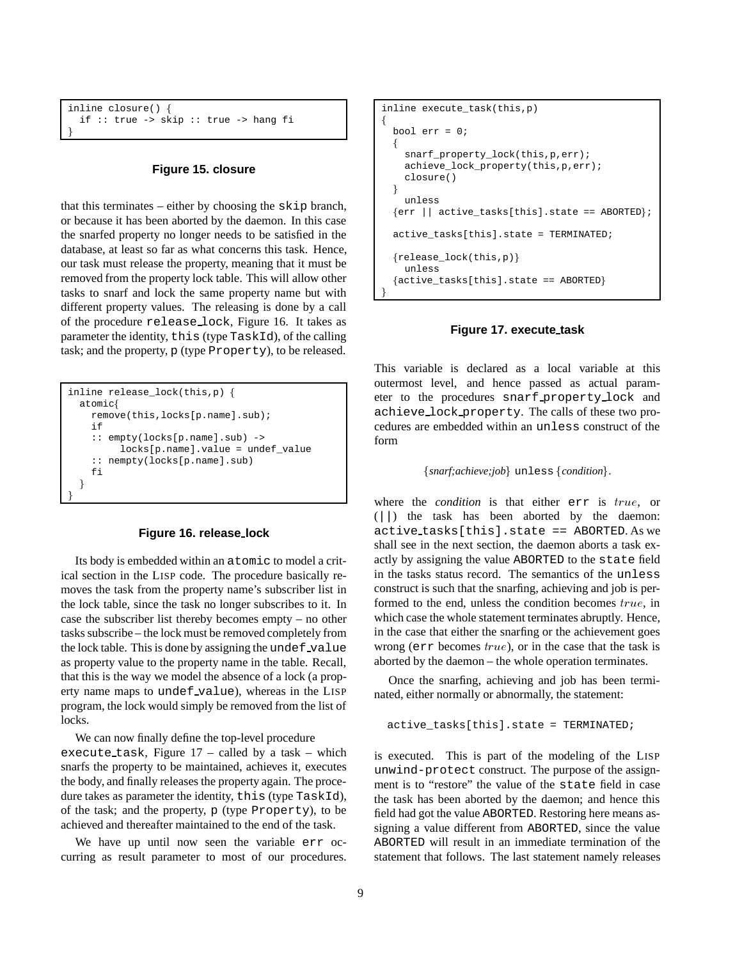```
inline closure() f
 if :: true -> skip :: true -> hang fi
\} and \}
```
### **Figure 15. closure**

that this terminates – either by choosing the skip branch, or because it has been aborted by the daemon. In this case the snarfed property no longer needs to be satisfied in the database, at least so far as what concerns this task. Hence, our task must release the property, meaning that it must be removed from the property lock table. This will allow other tasks to snarf and lock the same property name but with different property values. The releasing is done by a call of the procedure release lock, Figure 16. It takes as parameter the identity, this (type TaskId), of the calling task; and the property, p (type Property), to be released.

```
inline release_lock(this,p) f
 atomicf
   remove(this,locks[p.name].sub);
   if
   :: empty(locks[p.name].sub) ->
        locks[p.name].value = undef_value
   :: nempty(locks[p.name].sub)
   fi
  \}\}
```
#### **Figure 16. release lock**

Its body is embedded within an atomic to model a critical section in the LISP code. The procedure basically removes the task from the property name's subscriber list in the lock table, since the task no longer subscribes to it. In case the subscriber list thereby becomes empty – no other tasks subscribe – the lock must be removed completely from the lock table. This is done by assigning the undef-value as property value to the property name in the table. Recall, that this is the way we model the absence of a lock (a property name maps to undef value), whereas in the LISP program, the lock would simply be removed from the list of locks.

We can now finally define the top-level procedure

execute task, Figure 17 – called by a task – which snarfs the property to be maintained, achieves it, executes the body, and finally releases the property again. The procedure takes as parameter the identity, this (type TaskId), of the task; and the property, p (type Property), to be achieved and thereafter maintained to the end of the task.

We have up until now seen the variable err occurring as result parameter to most of our procedures.

```
inline execute_task(this,p)
f
 bool err = 0;
  f
   snarf_property_lock(this,p,err);
   achieve_lock_property(this,p,err);
   closure()
  \}unless
 \{err \mid \text{active\_tasks[this].state == ABORTED}\}\active_tasks[this].state = TERMINATED;
 {release\_lock(this,p)}unless
 \{active\_tasks[this].state == ABORTED\}\}
```
### **Figure 17. execute task**

This variable is declared as a local variable at this outermost level, and hence passed as actual parameter to the procedures snarf property lock and achieve lock property. The calls of these two procedures are embedded within an unless construct of the form

```
\{snarf; achieve;job\} unless \{condition\}.
```
where the *condition* is that either err is true, or (||) the task has been aborted by the daemon: active tasks[this].state == ABORTED. As we shall see in the next section, the daemon aborts a task exactly by assigning the value ABORTED to the state field in the tasks status record. The semantics of the unless construct is such that the snarfing, achieving and job is performed to the end, unless the condition becomes true, in which case the whole statement terminates abruptly. Hence, in the case that either the snarfing or the achievement goes wrong ( $err$  becomes  $true$ ), or in the case that the task is aborted by the daemon – the whole operation terminates.

Once the snarfing, achieving and job has been terminated, either normally or abnormally, the statement:

```
active_tasks[this].state = TERMINATED;
```
is executed. This is part of the modeling of the LISP unwind-protect construct. The purpose of the assignment is to "restore" the value of the state field in case the task has been aborted by the daemon; and hence this field had got the value ABORTED. Restoring here means assigning a value different from ABORTED, since the value ABORTED will result in an immediate termination of the statement that follows. The last statement namely releases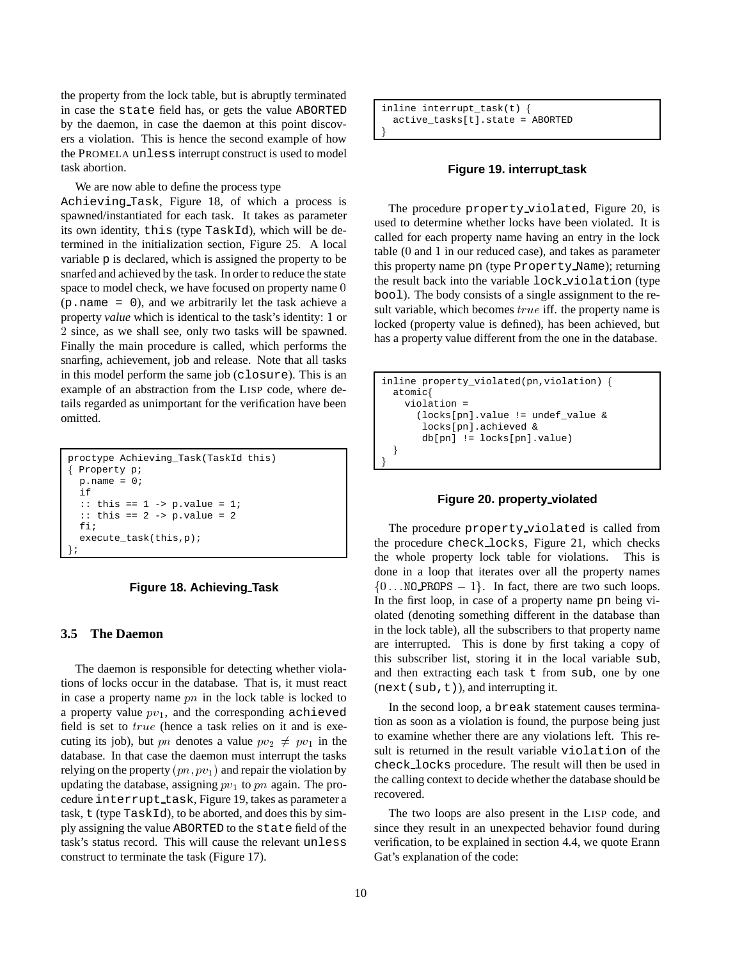the property from the lock table, but is abruptly terminated in case the state field has, or gets the value ABORTED by the daemon, in case the daemon at this point discovers a violation. This is hence the second example of how the PROMELA unless interrupt construct is used to model task abortion.

We are now able to define the process type

Achieving Task, Figure 18, of which a process is spawned/instantiated for each task. It takes as parameter its own identity, this (type TaskId), which will be determined in the initialization section, Figure 25. A local variable p is declared, which is assigned the property to be snarfed and achieved by the task. In order to reduce the state space to model check, we have focused on property name 0 (p.name = 0), and we arbitrarily let the task achieve a property *value* which is identical to the task's identity: <sup>1</sup> or <sup>2</sup> since, as we shall see, only two tasks will be spawned. Finally the main procedure is called, which performs the snarfing, achievement, job and release. Note that all tasks in this model perform the same job (closure). This is an example of an abstraction from the LISP code, where details regarded as unimportant for the verification have been omitted.

```
proctype Achieving_Task(TaskId this)
f Property p;
 p.name = 0;if
  :: this == 1 -> p.value = 1;
  :: this == 2 -> p.value = 2
  fi;
  execute_task(this,p);
g;
```
#### **Figure 18. Achieving Task**

### **3.5 The Daemon**

The daemon is responsible for detecting whether violations of locks occur in the database. That is, it must react in case a property name  $pn$  in the lock table is locked to a property value  $pv_1$ , and the corresponding achieved field is set to true (hence a task relies on it and is executing its job), but pn denotes a value  $pv_2 \neq pv_1$  in the database. In that case the daemon must interrupt the tasks relying on the property  $(pn, pv_1)$  and repair the violation by updating the database, assigning  $pv_1$  to pn again. The procedure interrupt\_task, Figure 19, takes as parameter a task, t (type TaskId), to be aborted, and does this by simply assigning the value ABORTED to the state field of the task's status record. This will cause the relevant unless construct to terminate the task (Figure 17).

inline interrupt\_task(t) f active\_tasks[t].state = ABORTED  $\}$ 

#### **Figure 19. interrupt task**

The procedure property violated, Figure 20, is used to determine whether locks have been violated. It is called for each property name having an entry in the lock table (<sup>0</sup> and <sup>1</sup> in our reduced case), and takes as parameter this property name pn (type Property Name); returning the result back into the variable lock violation (type bool). The body consists of a single assignment to the result variable, which becomes *true* iff. the property name is locked (property value is defined), has been achieved, but has a property value different from the one in the database.

```
inline property_violated(pn,violation) f
 atomicf
   violation =
      (locks[pn].value != undef_value &
      locks[pn].achieved &
      db[pn] != locks[pn].value)
  \}\}
```
# **Figure 20. property violated**

The procedure property\_violated is called from the procedure check locks, Figure 21, which checks the whole property lock table for violations. This is done in a loop that iterates over all the property names  $\{0 \dots \text{NO\_PROPS} - 1\}$ . In fact, there are two such loops. In the first loop, in case of a property name pn being violated (denoting something different in the database than in the lock table), all the subscribers to that property name are interrupted. This is done by first taking a copy of this subscriber list, storing it in the local variable sub, and then extracting each task t from sub, one by one  $(next(sub, t))$ , and interrupting it.

In the second loop, a break statement causes termination as soon as a violation is found, the purpose being just to examine whether there are any violations left. This result is returned in the result variable violation of the check locks procedure. The result will then be used in the calling context to decide whether the database should be recovered.

The two loops are also present in the LISP code, and since they result in an unexpected behavior found during verification, to be explained in section 4.4, we quote Erann Gat's explanation of the code: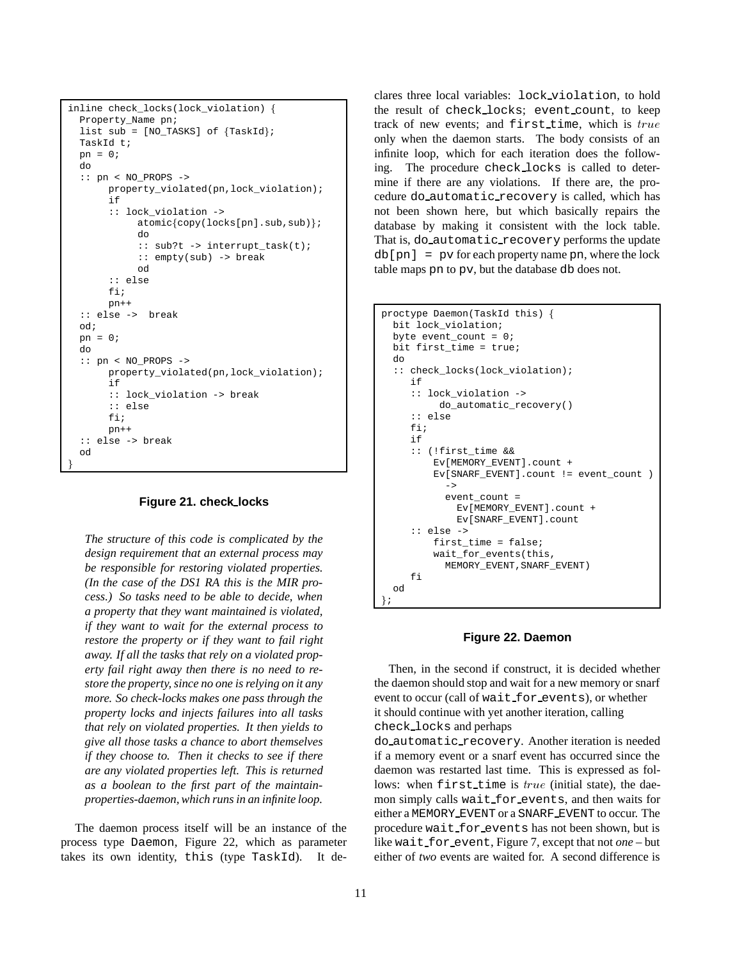```
inline check_locks(lock_violation) f
 Property_Name pn;
 list sub = [NO_TASKS] of {TaskId};TaskId t;
 pn = 0;do
 :: pn < NO_PROPS ->
      property violated(pn,lock violation);
      if
       :: lock_violation ->
            atomic\{copy(locks[pn].sub,sub)\};do
            :: sub?t -> interrupt_task(t);
            :: empty(sub) -> break
            od
       :: else
      fi;
      pn++
 :: else -> break
 od;
 pn = 0;
 do
 :: pn < NO_PROPS ->
      property_violated(pn,lock_violation);
       if
       :: lock_violation -> break
       :: else
      fi;
      pn++
  :: else -> break
 od
\}
```
#### **Figure 21. check locks**

*The structure of this code is complicated by the design requirement that an external process may be responsible for restoring violated properties. (In the case of the DS1 RA this is the MIR process.) So tasks need to be able to decide, when a property that they want maintained is violated, if they want to wait for the external process to restore the property or if they want to fail right away. If all the tasks that rely on a violated property fail right away then there is no need to restore the property, since no one is relying on it any more. So check-locks makes one pass through the property locks and injects failures into all tasks that rely on violated properties. It then yields to give all those tasks a chance to abort themselves if they choose to. Then it checks to see if there are any violated properties left. This is returned as a boolean to the first part of the maintainproperties-daemon, which runs in an infinite loop.*

The daemon process itself will be an instance of the process type Daemon, Figure 22, which as parameter takes its own identity, this (type TaskId). It declares three local variables: lock violation, to hold the result of check locks; event count, to keep track of new events; and first time, which is true only when the daemon starts. The body consists of an infinite loop, which for each iteration does the following. The procedure check locks is called to determine if there are any violations. If there are, the procedure do automatic recovery is called, which has not been shown here, but which basically repairs the database by making it consistent with the lock table. That is, do automatic recovery performs the update  $db[pn] = py$  for each property name pn, where the lock table maps pn to pv, but the database db does not.

```
proctype Daemon(TaskId this) f
 bit lock_violation;
 byte event count = 0;bit first_time = true;
  do
  :: check_locks(lock_violation);
     if
     :: lock_violation ->
          do_automatic_recovery()
     :: else
     fi;
     if
     :: (!first_time &&
         Ev[MEMORY_EVENT].count +
         Ev[SNARF_EVENT].count != event_count )
           ->
           event_count =
             Ev[MEMORY_EVENT].count +
             Ev[SNARF_EVENT].count
     :: else ->
         first_time = false;
         wait_for_events(this,
           MEMORY_EVENT,SNARF_EVENT)
     fi
  od
g;
```
### **Figure 22. Daemon**

Then, in the second if construct, it is decided whether the daemon should stop and wait for a new memory or snarf event to occur (call of wait for events), or whether it should continue with yet another iteration, calling check locks and perhaps

do automatic recovery. Another iteration is needed if a memory event or a snarf event has occurred since the daemon was restarted last time. This is expressed as follows: when first time is true (initial state), the daemon simply calls wait for events, and then waits for either a MEMORY EVENT or a SNARF EVENT to occur. The procedure wait for events has not been shown, but is like wait for event, Figure 7, except that not *one* – but either of *two* events are waited for. A second difference is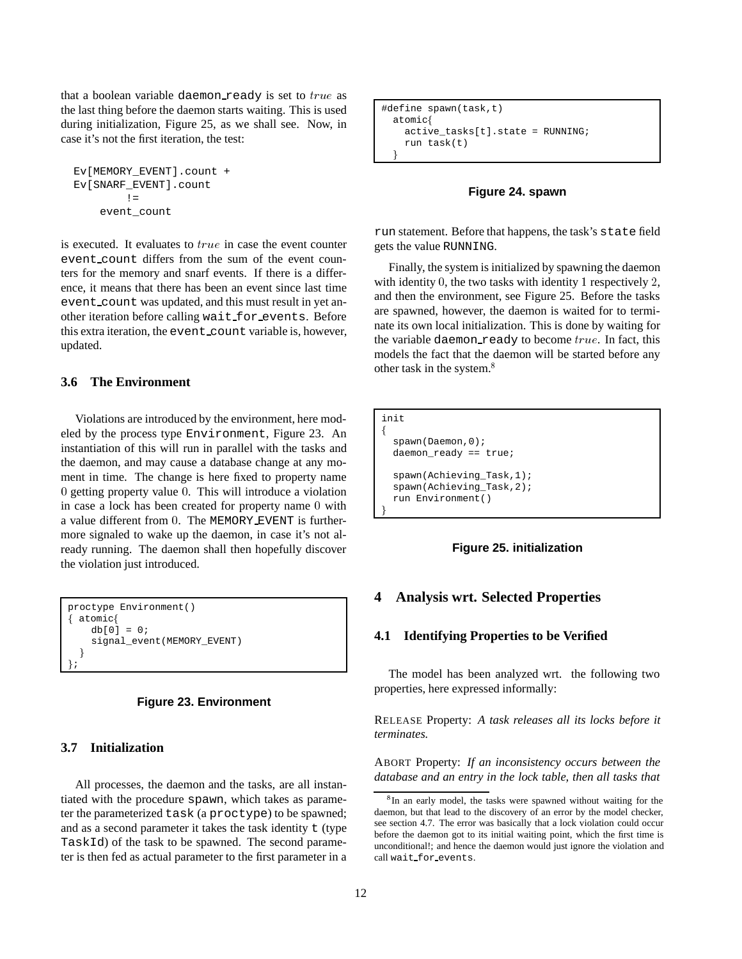that a boolean variable daemon ready is set to  $true$  as the last thing before the daemon starts waiting. This is used during initialization, Figure 25, as we shall see. Now, in case it's not the first iteration, the test:

```
Ev[MEMORY_EVENT].count +
Ev[SNARF_EVENT].count
        ! =event_count
```
is executed. It evaluates to  $true$  in case the event counter event count differs from the sum of the event counters for the memory and snarf events. If there is a difference, it means that there has been an event since last time event\_count was updated, and this must result in yet another iteration before calling wait for events. Before this extra iteration, the event count variable is, however, updated.

# **3.6 The Environment**

Violations are introduced by the environment, here modeled by the process type Environment, Figure 23. An instantiation of this will run in parallel with the tasks and the daemon, and may cause a database change at any moment in time. The change is here fixed to property name <sup>0</sup> getting property value <sup>0</sup>. This will introduce a violation in case a lock has been created for property name <sup>0</sup> with a value different from <sup>0</sup>. The MEMORY EVENT is furthermore signaled to wake up the daemon, in case it's not already running. The daemon shall then hopefully discover the violation just introduced.

```
proctype Environment()
f atomicf
   db[0] = 0;signal_event(MEMORY_EVENT)
  \}g;
```


# **3.7 Initialization**

All processes, the daemon and the tasks, are all instantiated with the procedure spawn, which takes as parameter the parameterized task (a proctype) to be spawned; and as a second parameter it takes the task identity  $t$  (type) TaskId) of the task to be spawned. The second parameter is then fed as actual parameter to the first parameter in a

```
#define spawn(task,t)
 atomicf
   active_tasks[t].state = RUNNING;
   run task(t)
  \}
```
### **Figure 24. spawn**

run statement. Before that happens, the task's state field gets the value RUNNING.

Finally, the system is initialized by spawning the daemon with identity 0, the two tasks with identity 1 respectively 2, and then the environment, see Figure 25. Before the tasks are spawned, however, the daemon is waited for to terminate its own local initialization. This is done by waiting for the variable daemon\_ready to become  $true$ . In fact, this models the fact that the daemon will be started before any other task in the system.<sup>8</sup>

```
init
f
 spawn(Daemon,0);
 daemon_ready == true;
 spawn(Achieving_Task,1);
 spawn(Achieving_Task,2);
 run Environment()
\}
```
#### **Figure 25. initialization**

# **4 Analysis wrt. Selected Properties**

#### **4.1 Identifying Properties to be Verified**

The model has been analyzed wrt. the following two properties, here expressed informally:

RELEASE Property: *A task releases all its locks before it terminates.*

ABORT Property: *If an inconsistency occurs between the database and an entry in the lock table, then all tasks that*

<sup>&</sup>lt;sup>8</sup>In an early model, the tasks were spawned without waiting for the daemon, but that lead to the discovery of an error by the model checker, see section 4.7. The error was basically that a lock violation could occur before the daemon got to its initial waiting point, which the first time is unconditional!; and hence the daemon would just ignore the violation and call wait for events.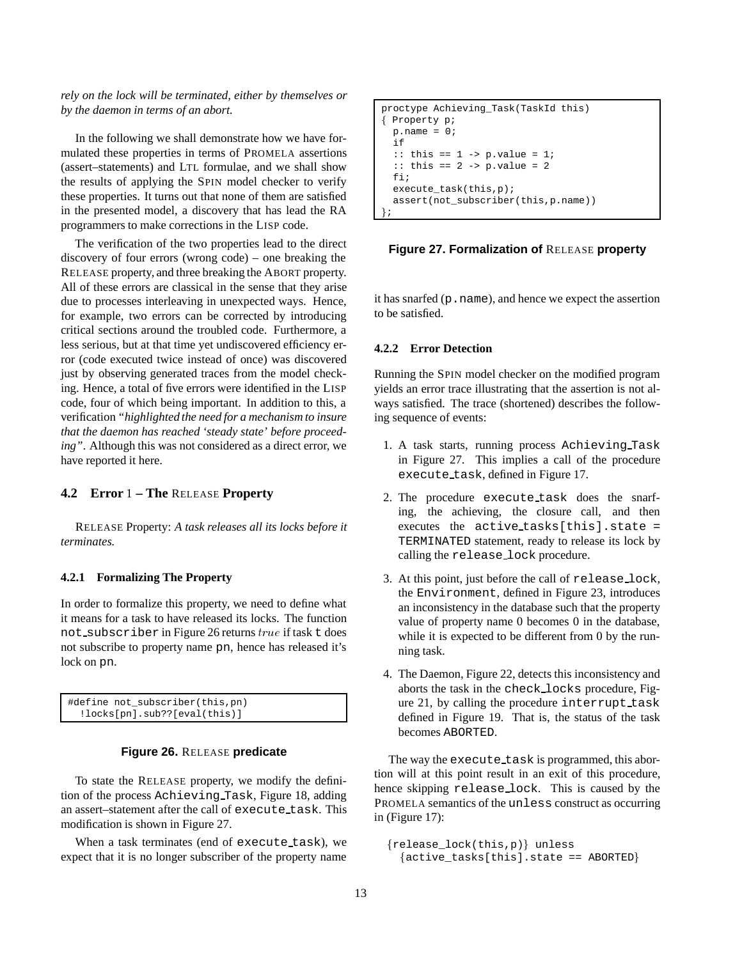*rely on the lock will be terminated, either by themselves or by the daemon in terms of an abort.*

In the following we shall demonstrate how we have formulated these properties in terms of PROMELA assertions (assert–statements) and LTL formulae, and we shall show the results of applying the SPIN model checker to verify these properties. It turns out that none of them are satisfied in the presented model, a discovery that has lead the RA programmers to make corrections in the LISP code.

The verification of the two properties lead to the direct discovery of four errors (wrong code) – one breaking the RELEASE property, and three breaking the ABORT property. All of these errors are classical in the sense that they arise due to processes interleaving in unexpected ways. Hence, for example, two errors can be corrected by introducing critical sections around the troubled code. Furthermore, a less serious, but at that time yet undiscovered efficiency error (code executed twice instead of once) was discovered just by observing generated traces from the model checking. Hence, a total of five errors were identified in the LISP code, four of which being important. In addition to this, a verification *"highlighted the need for a mechanism to insure that the daemon has reached 'steady state' before proceeding"*. Although this was not considered as a direct error, we have reported it here.

# **4.2 Error** <sup>1</sup> **– The** RELEASE **Property**

RELEASE Property: *A task releases all its locks before it terminates.*

### **4.2.1 Formalizing The Property**

In order to formalize this property, we need to define what it means for a task to have released its locks. The function not subscriber in Figure 26 returns true if task t does not subscribe to property name pn, hence has released it's lock on pn.

| #define not subscriber(this, pn)       |  |
|----------------------------------------|--|
| $:$ locks $[pn]$ .sub?? $[eval(this)]$ |  |

# **Figure 26.** RELEASE **predicate**

To state the RELEASE property, we modify the definition of the process Achieving Task, Figure 18, adding an assert–statement after the call of execute\_task. This modification is shown in Figure 27.

When a task terminates (end of execute task), we expect that it is no longer subscriber of the property name

```
proctype Achieving_Task(TaskId this)
f Property p;
 p.name = 0;if
  :: this == 1 -> p.value = 1;
  :: this == 2 -> p.value = 2fi;
  execute task(this,p);assert(not_subscriber(this,p.name))
g;
```
#### **Figure 27. Formalization of** RELEASE **property**

it has snarfed (p.name), and hence we expect the assertion to be satisfied.

### **4.2.2 Error Detection**

Running the SPIN model checker on the modified program yields an error trace illustrating that the assertion is not always satisfied. The trace (shortened) describes the following sequence of events:

- 1. A task starts, running process Achieving Task in Figure 27. This implies a call of the procedure execute task, defined in Figure 17.
- 2. The procedure execute task does the snarfing, the achieving, the closure call, and then executes the active tasks[this].state = TERMINATED statement, ready to release its lock by calling the release lock procedure.
- 3. At this point, just before the call of release lock, the Environment, defined in Figure 23, introduces an inconsistency in the database such that the property value of property name 0 becomes 0 in the database, while it is expected to be different from 0 by the running task.
- 4. The Daemon, Figure 22, detects this inconsistency and aborts the task in the check locks procedure, Figure 21, by calling the procedure interrupt task defined in Figure 19. That is, the status of the task becomes ABORTED.

The way the execute task is programmed, this abortion will at this point result in an exit of this procedure, hence skipping release lock. This is caused by the PROMELA semantics of the unless construct as occurring in (Figure 17):

```
\{release\_lock(this, p)\} unless
  \{active\_tasks[this].state == ABORTED\}
```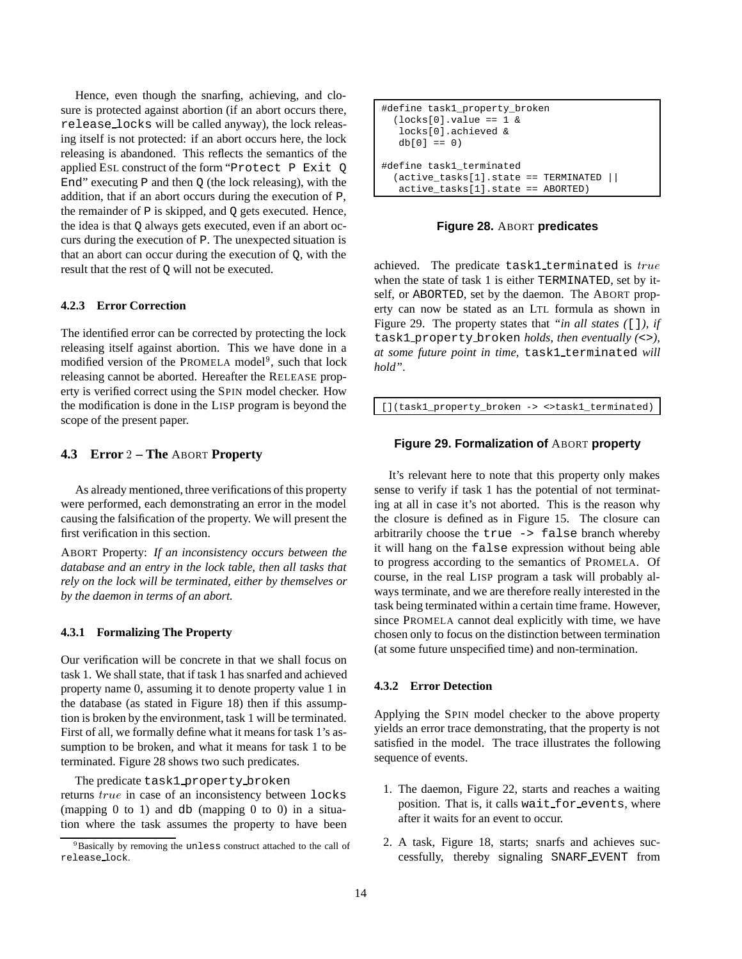Hence, even though the snarfing, achieving, and closure is protected against abortion (if an abort occurs there, release locks will be called anyway), the lock releasing itself is not protected: if an abort occurs here, the lock releasing is abandoned. This reflects the semantics of the applied ESL construct of the form "Protect P Exit Q End" executing  $P$  and then  $Q$  (the lock releasing), with the addition, that if an abort occurs during the execution of P, the remainder of P is skipped, and Q gets executed. Hence, the idea is that Q always gets executed, even if an abort occurs during the execution of P. The unexpected situation is that an abort can occur during the execution of Q, with the result that the rest of Q will not be executed.

#### **4.2.3 Error Correction**

The identified error can be corrected by protecting the lock releasing itself against abortion. This we have done in a modified version of the PROMELA model<sup>9</sup>, such that lock releasing cannot be aborted. Hereafter the RELEASE property is verified correct using the SPIN model checker. How the modification is done in the LISP program is beyond the scope of the present paper.

### **4.3 Error** <sup>2</sup> **– The** ABORT **Property**

As already mentioned, three verifications of this property were performed, each demonstrating an error in the model causing the falsification of the property. We will present the first verification in this section.

ABORT Property: *If an inconsistency occurs between the database and an entry in the lock table, then all tasks that rely on the lock will be terminated, either by themselves or by the daemon in terms of an abort.*

### **4.3.1 Formalizing The Property**

Our verification will be concrete in that we shall focus on task 1. We shall state, that if task 1 has snarfed and achieved property name 0, assuming it to denote property value 1 in the database (as stated in Figure 18) then if this assumption is broken by the environment, task 1 will be terminated. First of all, we formally define what it means for task 1's assumption to be broken, and what it means for task 1 to be terminated. Figure 28 shows two such predicates.

The predicate task1 property broken

returns true in case of an inconsistency between locks (mapping  $0$  to  $1$ ) and  $db$  (mapping  $0$  to  $0$ ) in a situation where the task assumes the property to have been

```
#define task1_property_broken
  (\text{locks}[0].\text{value} == 1 \&locks[0].achieved &
   db[0] == 0)#define task1_terminated
  (active_tasks[1].state == TERMINATED ||
   active_tasks[1].state == ABORTED)
```
**Figure 28.** ABORT **predicates**

achieved. The predicate task1 terminated is true when the state of task 1 is either TERMINATED, set by itself, or ABORTED, set by the daemon. The ABORT property can now be stated as an LTL formula as shown in Figure 29. The property states that *"in all states (*[]*), if* task1 property broken *holds, then eventually (*<>*), at some future point in time,* task1 terminated *will hold"*.

[](task1\_property\_broken -> <>task1\_terminated)

#### **Figure 29. Formalization of** ABORT **property**

It's relevant here to note that this property only makes sense to verify if task 1 has the potential of not terminating at all in case it's not aborted. This is the reason why the closure is defined as in Figure 15. The closure can arbitrarily choose the true -> false branch whereby it will hang on the false expression without being able to progress according to the semantics of PROMELA. Of course, in the real LISP program a task will probably always terminate, and we are therefore really interested in the task being terminated within a certain time frame. However, since PROMELA cannot deal explicitly with time, we have chosen only to focus on the distinction between termination (at some future unspecified time) and non-termination.

### **4.3.2 Error Detection**

Applying the SPIN model checker to the above property yields an error trace demonstrating, that the property is not satisfied in the model. The trace illustrates the following sequence of events.

- 1. The daemon, Figure 22, starts and reaches a waiting position. That is, it calls wait for events, where after it waits for an event to occur.
- 2. A task, Figure 18, starts; snarfs and achieves successfully, thereby signaling SNARF EVENT from

<sup>&</sup>lt;sup>9</sup>Basically by removing the unless construct attached to the call of release lock.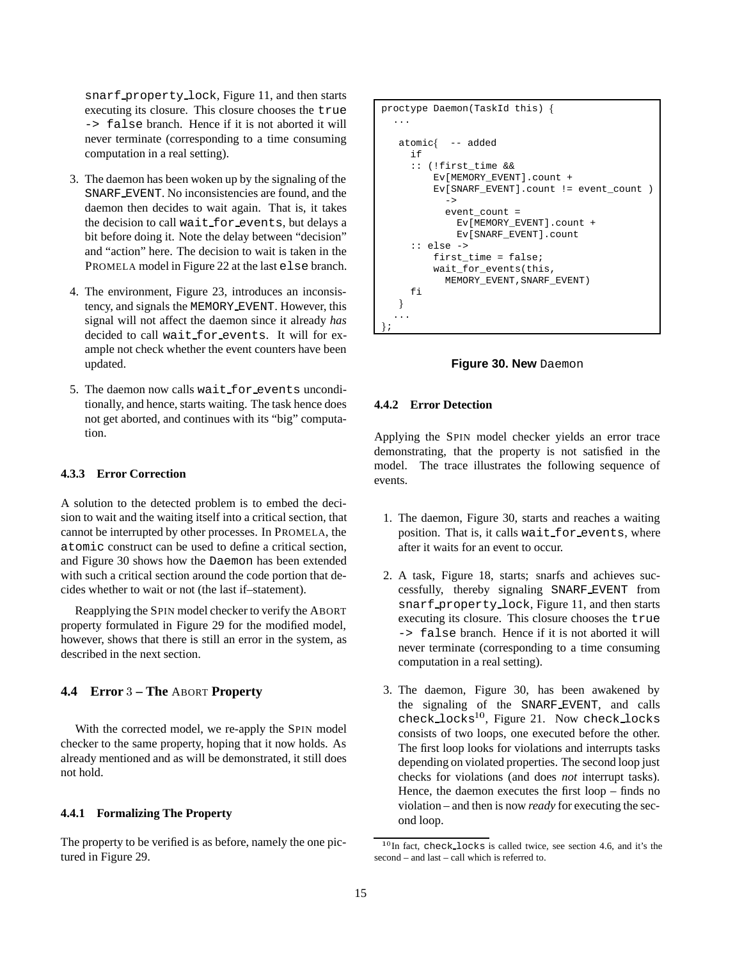snarf property lock, Figure 11, and then starts executing its closure. This closure chooses the true -> false branch. Hence if it is not aborted it will never terminate (corresponding to a time consuming computation in a real setting).

- 3. The daemon has been woken up by the signaling of the SNARF EVENT. No inconsistencies are found, and the daemon then decides to wait again. That is, it takes the decision to call wait for events, but delays a bit before doing it. Note the delay between "decision" and "action" here. The decision to wait is taken in the PROMELA model in Figure 22 at the last else branch.
- 4. The environment, Figure 23, introduces an inconsistency, and signals the MEMORY EVENT. However, this signal will not affect the daemon since it already *has* decided to call wait for events. It will for example not check whether the event counters have been updated.
- 5. The daemon now calls wait for events unconditionally, and hence, starts waiting. The task hence does not get aborted, and continues with its "big" computation.

# **4.3.3 Error Correction**

A solution to the detected problem is to embed the decision to wait and the waiting itself into a critical section, that cannot be interrupted by other processes. In PROMELA, the atomic construct can be used to define a critical section, and Figure 30 shows how the Daemon has been extended with such a critical section around the code portion that decides whether to wait or not (the last if–statement).

Reapplying the SPIN model checker to verify the ABORT property formulated in Figure 29 for the modified model, however, shows that there is still an error in the system, as described in the next section.

# **4.4 Error** <sup>3</sup> **– The** ABORT **Property**

With the corrected model, we re-apply the SPIN model checker to the same property, hoping that it now holds. As already mentioned and as will be demonstrated, it still does not hold.

### **4.4.1 Formalizing The Property**

The property to be verified is as before, namely the one pictured in Figure 29.

```
proctype Daemon(TaskId this) f
  ...
   atomicf -- added
     if
     :: (!first_time &&
         Ev[MEMORY_EVENT].count +
         Ev[SNARF_EVENT].count != event_count )
           \rightarrowevent count =
             Ev[MEMORY_EVENT].count +
             Ev[SNARF_EVENT].count
     :: else ->
         first_time = false;
         wait for events(this,
           MEMORY_EVENT,SNARF_EVENT)
     fi
   \}... g;
```


#### **4.4.2 Error Detection**

Applying the SPIN model checker yields an error trace demonstrating, that the property is not satisfied in the model. The trace illustrates the following sequence of events.

- 1. The daemon, Figure 30, starts and reaches a waiting position. That is, it calls wait for events, where after it waits for an event to occur.
- 2. A task, Figure 18, starts; snarfs and achieves successfully, thereby signaling SNARF EVENT from snarf property lock, Figure 11, and then starts executing its closure. This closure chooses the true -> false branch. Hence if it is not aborted it will never terminate (corresponding to a time consuming computation in a real setting).
- 3. The daemon, Figure 30, has been awakened by the signaling of the SNARF EVENT, and calls check locks $^{10}$ , Figure 21. Now check locks consists of two loops, one executed before the other. The first loop looks for violations and interrupts tasks depending on violated properties. The second loop just checks for violations (and does *not* interrupt tasks). Hence, the daemon executes the first loop – finds no violation – and then is now *ready* for executing the second loop.

 $10$ In fact, check\_locks is called twice, see section 4.6, and it's the second – and last – call which is referred to.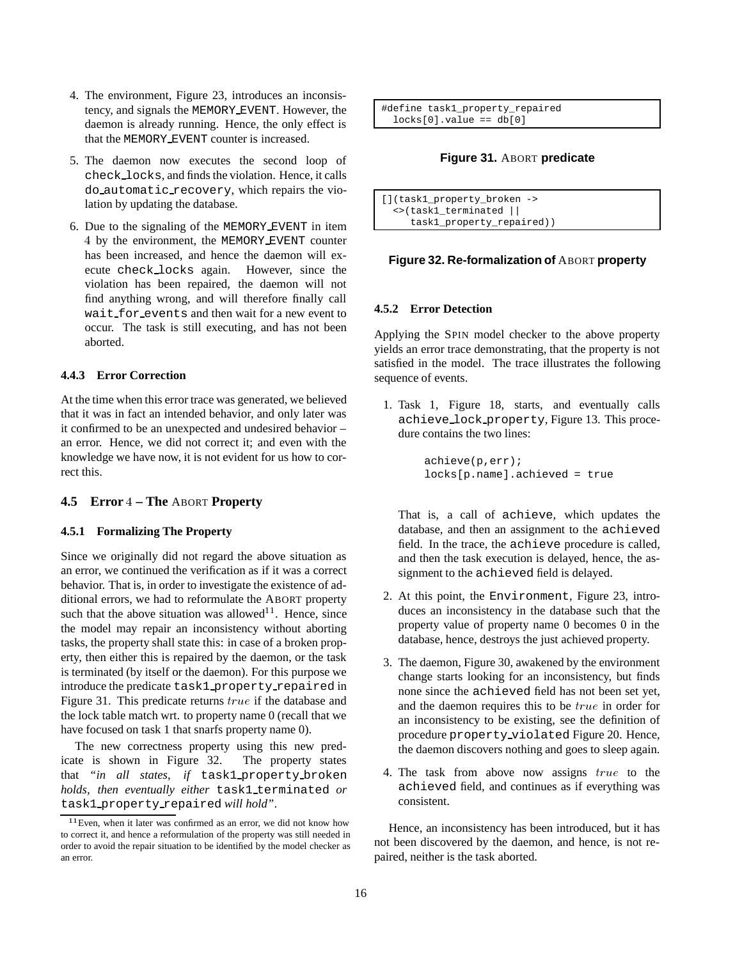- 4. The environment, Figure 23, introduces an inconsistency, and signals the MEMORY EVENT. However, the daemon is already running. Hence, the only effect is that the MEMORY EVENT counter is increased.
- 5. The daemon now executes the second loop of check locks, and finds the violation. Hence, it calls do automatic recovery, which repairs the violation by updating the database.
- 6. Due to the signaling of the MEMORY EVENT in item <sup>4</sup> by the environment, the MEMORY EVENT counter has been increased, and hence the daemon will execute check locks again. However, since the violation has been repaired, the daemon will not find anything wrong, and will therefore finally call wait for events and then wait for a new event to occur. The task is still executing, and has not been aborted.

## **4.4.3 Error Correction**

At the time when this error trace was generated, we believed that it was in fact an intended behavior, and only later was it confirmed to be an unexpected and undesired behavior – an error. Hence, we did not correct it; and even with the knowledge we have now, it is not evident for us how to correct this.

#### **4.5 Error** <sup>4</sup> **– The** ABORT **Property**

# **4.5.1 Formalizing The Property**

Since we originally did not regard the above situation as an error, we continued the verification as if it was a correct behavior. That is, in order to investigate the existence of additional errors, we had to reformulate the ABORT property such that the above situation was allowed<sup>11</sup>. Hence, since the model may repair an inconsistency without aborting tasks, the property shall state this: in case of a broken property, then either this is repaired by the daemon, or the task is terminated (by itself or the daemon). For this purpose we introduce the predicate task1 property repaired in Figure 31. This predicate returns true if the database and the lock table match wrt. to property name 0 (recall that we have focused on task 1 that snarfs property name 0).

The new correctness property using this new predicate is shown in Figure 32. The property states that *"in all states, if* task1 property broken *holds, then eventually either* task1 terminated *or* task1 property repaired *will hold"*.

```
#define task1_property_repaired
 locks[0].value == db[0]
```
#### **Figure 31.** ABORT **predicate**

[](task1\_property\_broken -> <>(task1\_terminated || task1\_property\_repaired))

### **Figure 32. Re-formalization of** ABORT **property**

## **4.5.2 Error Detection**

Applying the SPIN model checker to the above property yields an error trace demonstrating, that the property is not satisfied in the model. The trace illustrates the following sequence of events.

1. Task 1, Figure 18, starts, and eventually calls achieve lock property, Figure 13. This procedure contains the two lines:

```
achieve(p,err);
locks[p.name].achieved = true
```
That is, a call of achieve, which updates the database, and then an assignment to the achieved field. In the trace, the achieve procedure is called, and then the task execution is delayed, hence, the assignment to the achieved field is delayed.

- 2. At this point, the Environment, Figure 23, introduces an inconsistency in the database such that the property value of property name 0 becomes 0 in the database, hence, destroys the just achieved property.
- 3. The daemon, Figure 30, awakened by the environment change starts looking for an inconsistency, but finds none since the achieved field has not been set yet, and the daemon requires this to be true in order for an inconsistency to be existing, see the definition of procedure property violated Figure 20. Hence, the daemon discovers nothing and goes to sleep again.
- 4. The task from above now assigns true to the achieved field, and continues as if everything was consistent.

Hence, an inconsistency has been introduced, but it has not been discovered by the daemon, and hence, is not repaired, neither is the task aborted.

<sup>11</sup>Even, when it later was confirmed as an error, we did not know how to correct it, and hence a reformulation of the property was still needed in order to avoid the repair situation to be identified by the model checker as an error.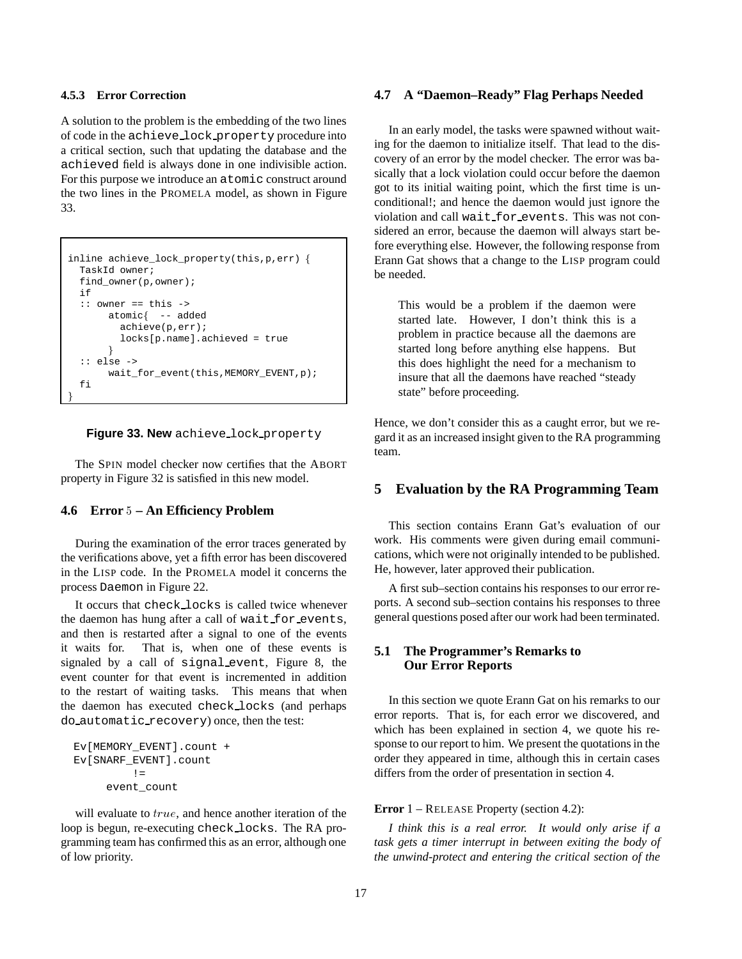### **4.5.3 Error Correction**

A solution to the problem is the embedding of the two lines of code in the achieve lock property procedure into a critical section, such that updating the database and the achieved field is always done in one indivisible action. For this purpose we introduce an atomic construct around the two lines in the PROMELA model, as shown in Figure 33.

```
inline achieve_lock_property(this, p, err) {
 TaskId owner;
  find_owner(p,owner);
 if
  :: owner == this ->
      atomic -- added
        achieve(p,err);
        locks[p.name].achieved = true
       \}:: else ->
      wait_for_event(this,MEMORY_EVENT,p);
  fi
\}
```


The SPIN model checker now certifies that the ABORT property in Figure 32 is satisfied in this new model.

#### **4.6 Error** <sup>5</sup> **– An Efficiency Problem**

During the examination of the error traces generated by the verifications above, yet a fifth error has been discovered in the LISP code. In the PROMELA model it concerns the process Daemon in Figure 22.

It occurs that check locks is called twice whenever the daemon has hung after a call of wait for events, and then is restarted after a signal to one of the events it waits for. That is, when one of these events is signaled by a call of signal event, Figure 8, the event counter for that event is incremented in addition to the restart of waiting tasks. This means that when the daemon has executed check locks (and perhaps do automatic recovery) once, then the test:

```
Ev[MEMORY_EVENT].count +
Ev[SNARF_EVENT].count
         !=
     event_count
```
will evaluate to true, and hence another iteration of the loop is begun, re-executing check locks. The RA programming team has confirmed this as an error, although one of low priority.

# **4.7 A "Daemon–Ready" Flag Perhaps Needed**

In an early model, the tasks were spawned without waiting for the daemon to initialize itself. That lead to the discovery of an error by the model checker. The error was basically that a lock violation could occur before the daemon got to its initial waiting point, which the first time is unconditional!; and hence the daemon would just ignore the violation and call wait for events. This was not considered an error, because the daemon will always start before everything else. However, the following response from Erann Gat shows that a change to the LISP program could be needed.

This would be a problem if the daemon were started late. However, I don't think this is a problem in practice because all the daemons are started long before anything else happens. But this does highlight the need for a mechanism to insure that all the daemons have reached "steady state" before proceeding.

Hence, we don't consider this as a caught error, but we regard it as an increased insight given to the RA programming team.

# **5 Evaluation by the RA Programming Team**

This section contains Erann Gat's evaluation of our work. His comments were given during email communications, which were not originally intended to be published. He, however, later approved their publication.

A first sub–section contains his responses to our error reports. A second sub–section contains his responses to three general questions posed after our work had been terminated.

# **5.1 The Programmer's Remarks to Our Error Reports**

In this section we quote Erann Gat on his remarks to our error reports. That is, for each error we discovered, and which has been explained in section 4, we quote his response to our report to him. We present the quotations in the order they appeared in time, although this in certain cases differs from the order of presentation in section 4.

### **Error** <sup>1</sup> – RELEASE Property (section 4.2):

*I think this is a real error. It would only arise if a task gets a timer interrupt in between exiting the body of the unwind-protect and entering the critical section of the*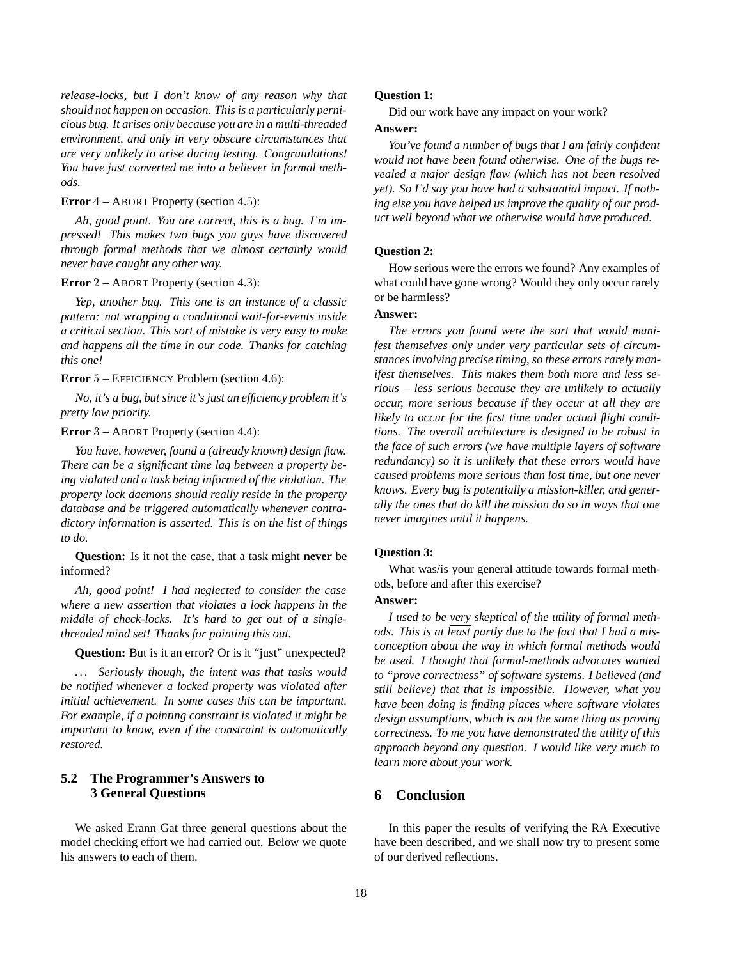*release-locks, but I don't know of any reason why that should not happen on occasion. This is a particularly pernicious bug. It arises only because you are in a multi-threaded environment, and only in very obscure circumstances that are very unlikely to arise during testing. Congratulations! You have just converted me into a believer in formal methods.*

### **Error** <sup>4</sup> – ABORT Property (section 4.5):

*Ah, good point. You are correct, this is a bug. I'm impressed! This makes two bugs you guys have discovered through formal methods that we almost certainly would never have caught any other way.*

#### **Error** <sup>2</sup> – ABORT Property (section 4.3):

*Yep, another bug. This one is an instance of a classic pattern: not wrapping a conditional wait-for-events inside a critical section. This sort of mistake is very easy to make and happens all the time in our code. Thanks for catching this one!*

**Error** <sup>5</sup> – EFFICIENCY Problem (section 4.6):

*No, it's a bug, but since it's just an efficiency problem it's pretty low priority.*

## **Error** <sup>3</sup> – ABORT Property (section 4.4):

*You have, however, found a (already known) design flaw. There can be a significant time lag between a property being violated and a task being informed of the violation. The property lock daemons should really reside in the property database and be triggered automatically whenever contradictory information is asserted. This is on the list of things to do.*

**Question:** Is it not the case, that a task might **never** be informed?

*Ah, good point! I had neglected to consider the case where a new assertion that violates a lock happens in the middle of check-locks. It's hard to get out of a singlethreaded mind set! Thanks for pointing this out.*

**Question:** But is it an error? Or is it "just" unexpected?

*. . . Seriously though, the intent was that tasks would be notified whenever a locked property was violated after initial achievement. In some cases this can be important. For example, if a pointing constraint is violated it might be important to know, even if the constraint is automatically restored.*

# **5.2 The Programmer's Answers to 3 General Questions**

We asked Erann Gat three general questions about the model checking effort we had carried out. Below we quote his answers to each of them.

# **Question 1:**

Did our work have any impact on your work?

# **Answer:**

*You've found a number of bugs that I am fairly confident would not have been found otherwise. One of the bugs revealed a major design flaw (which has not been resolved yet). So I'd say you have had a substantial impact. If nothing else you have helped us improve the quality of our product well beyond what we otherwise would have produced.*

#### **Question 2:**

How serious were the errors we found? Any examples of what could have gone wrong? Would they only occur rarely or be harmless?

# **Answer:**

*The errors you found were the sort that would manifest themselves only under very particular sets of circumstances involving precise timing, so these errors rarely manifest themselves. This makes them both more and less serious – less serious because they are unlikely to actually occur, more serious because if they occur at all they are likely to occur for the first time under actual flight conditions. The overall architecture is designed to be robust in the face of such errors (we have multiple layers of software redundancy) so it is unlikely that these errors would have caused problems more serious than lost time, but one never knows. Every bug is potentially a mission-killer, and generally the ones that do kill the mission do so in ways that one never imagines until it happens.*

#### **Question 3:**

What was/is your general attitude towards formal methods, before and after this exercise?

### **Answer:**

*I used to be very skeptical of the utility of formal methods. This is at least partly due to the fact that I had a misconception about the way in which formal methods would be used. I thought that formal-methods advocates wanted to "prove correctness" of software systems. I believed (and still believe) that that is impossible. However, what you have been doing is finding places where software violates design assumptions, which is not the same thing as proving correctness. To me you have demonstrated the utility of this approach beyond any question. I would like very much to learn more about your work.*

# **6 Conclusion**

In this paper the results of verifying the RA Executive have been described, and we shall now try to present some of our derived reflections.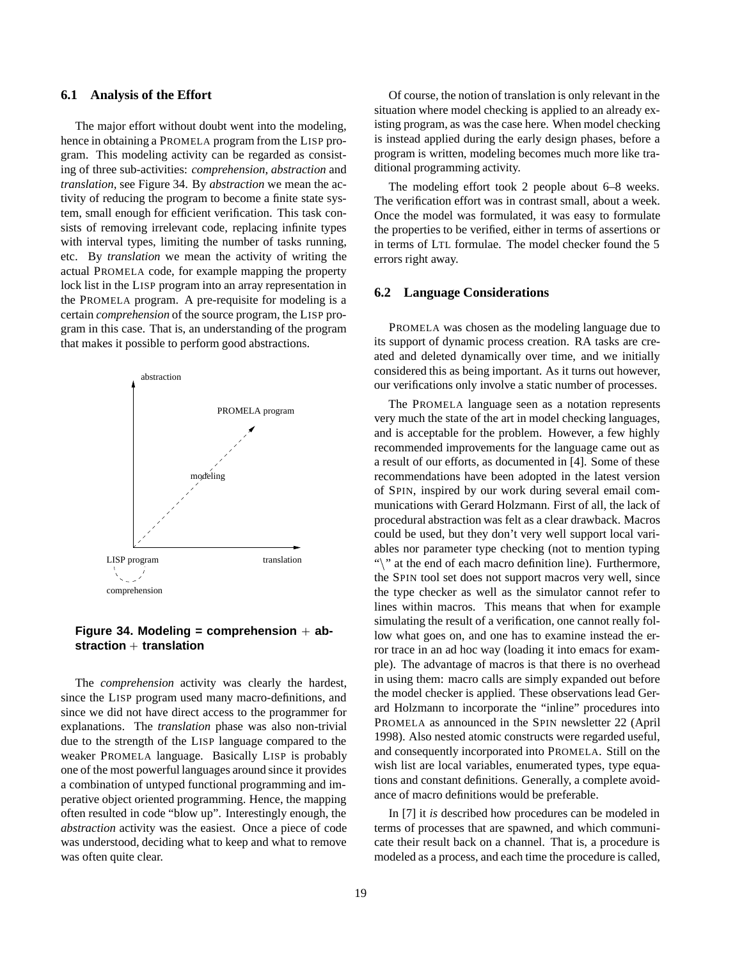#### **6.1 Analysis of the Effort**

The major effort without doubt went into the modeling, hence in obtaining a PROMELA program from the LISP program. This modeling activity can be regarded as consisting of three sub-activities: *comprehension*, *abstraction* and *translation*, see Figure 34. By *abstraction* we mean the activity of reducing the program to become a finite state system, small enough for efficient verification. This task consists of removing irrelevant code, replacing infinite types with interval types, limiting the number of tasks running, etc. By *translation* we mean the activity of writing the actual PROMELA code, for example mapping the property lock list in the LISP program into an array representation in the PROMELA program. A pre-requisite for modeling is a certain *comprehension* of the source program, the LISP program in this case. That is, an understanding of the program that makes it possible to perform good abstractions.



# **Figure 34. Modeling = comprehension** <sup>+</sup> **abstraction** <sup>+</sup> **translation**

The *comprehension* activity was clearly the hardest, since the LISP program used many macro-definitions, and since we did not have direct access to the programmer for explanations. The *translation* phase was also non-trivial due to the strength of the LISP language compared to the weaker PROMELA language. Basically LISP is probably one of the most powerful languages around since it provides a combination of untyped functional programming and imperative object oriented programming. Hence, the mapping often resulted in code "blow up". Interestingly enough, the *abstraction* activity was the easiest. Once a piece of code was understood, deciding what to keep and what to remove was often quite clear.

Of course, the notion of translation is only relevant in the situation where model checking is applied to an already existing program, as was the case here. When model checking is instead applied during the early design phases, before a program is written, modeling becomes much more like traditional programming activity.

The modeling effort took 2 people about 6–8 weeks. The verification effort was in contrast small, about a week. Once the model was formulated, it was easy to formulate the properties to be verified, either in terms of assertions or in terms of LTL formulae. The model checker found the 5 errors right away.

### **6.2 Language Considerations**

PROMELA was chosen as the modeling language due to its support of dynamic process creation. RA tasks are created and deleted dynamically over time, and we initially considered this as being important. As it turns out however, our verifications only involve a static number of processes.

The PROMELA language seen as a notation represents very much the state of the art in model checking languages, and is acceptable for the problem. However, a few highly recommended improvements for the language came out as a result of our efforts, as documented in [4]. Some of these recommendations have been adopted in the latest version of SPIN, inspired by our work during several email communications with Gerard Holzmann. First of all, the lack of procedural abstraction was felt as a clear drawback. Macros could be used, but they don't very well support local variables nor parameter type checking (not to mention typing "\" at the end of each macro definition line). Furthermore, the SPIN tool set does not support macros very well, since the type checker as well as the simulator cannot refer to lines within macros. This means that when for example simulating the result of a verification, one cannot really follow what goes on, and one has to examine instead the error trace in an ad hoc way (loading it into emacs for example). The advantage of macros is that there is no overhead in using them: macro calls are simply expanded out before the model checker is applied. These observations lead Gerard Holzmann to incorporate the "inline" procedures into PROMELA as announced in the SPIN newsletter 22 (April 1998). Also nested atomic constructs were regarded useful, and consequently incorporated into PROMELA. Still on the wish list are local variables, enumerated types, type equations and constant definitions. Generally, a complete avoidance of macro definitions would be preferable.

In [7] it *is* described how procedures can be modeled in terms of processes that are spawned, and which communicate their result back on a channel. That is, a procedure is modeled as a process, and each time the procedure is called,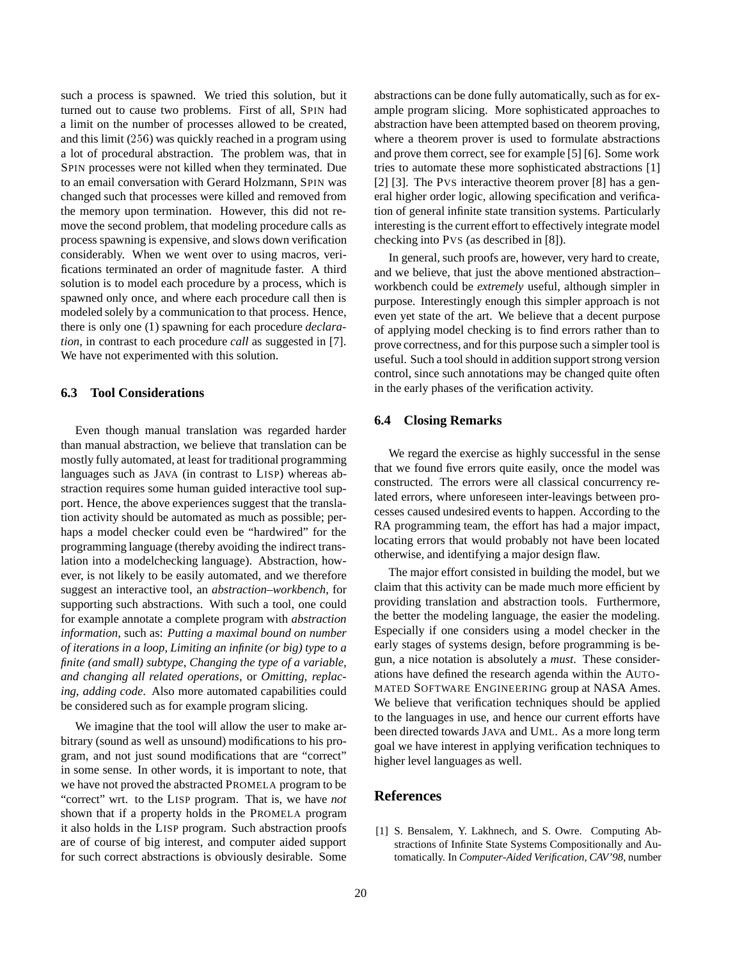such a process is spawned. We tried this solution, but it turned out to cause two problems. First of all, SPIN had a limit on the number of processes allowed to be created, and this limit (256) was quickly reached in a program using a lot of procedural abstraction. The problem was, that in SPIN processes were not killed when they terminated. Due to an email conversation with Gerard Holzmann, SPIN was changed such that processes were killed and removed from the memory upon termination. However, this did not remove the second problem, that modeling procedure calls as process spawning is expensive, and slows down verification considerably. When we went over to using macros, verifications terminated an order of magnitude faster. A third solution is to model each procedure by a process, which is spawned only once, and where each procedure call then is modeled solely by a communication to that process. Hence, there is only one (1) spawning for each procedure *declaration*, in contrast to each procedure *call* as suggested in [7]. We have not experimented with this solution.

# **6.3 Tool Considerations**

Even though manual translation was regarded harder than manual abstraction, we believe that translation can be mostly fully automated, at least for traditional programming languages such as JAVA (in contrast to LISP) whereas abstraction requires some human guided interactive tool support. Hence, the above experiences suggest that the translation activity should be automated as much as possible; perhaps a model checker could even be "hardwired" for the programming language (thereby avoiding the indirect translation into a modelchecking language). Abstraction, however, is not likely to be easily automated, and we therefore suggest an interactive tool, an *abstraction–workbench*, for supporting such abstractions. With such a tool, one could for example annotate a complete program with *abstraction information*, such as: *Putting a maximal bound on number of iterations in a loop*, *Limiting an infinite (or big) type to a finite (and small) subtype*, *Changing the type of a variable, and changing all related operations*, or *Omitting, replacing, adding code*. Also more automated capabilities could be considered such as for example program slicing.

We imagine that the tool will allow the user to make arbitrary (sound as well as unsound) modifications to his program, and not just sound modifications that are "correct" in some sense. In other words, it is important to note, that we have not proved the abstracted PROMELA program to be "correct" wrt. to the LISP program. That is, we have *not* shown that if a property holds in the PROMELA program it also holds in the LISP program. Such abstraction proofs are of course of big interest, and computer aided support for such correct abstractions is obviously desirable. Some abstractions can be done fully automatically, such as for example program slicing. More sophisticated approaches to abstraction have been attempted based on theorem proving, where a theorem prover is used to formulate abstractions and prove them correct, see for example [5] [6]. Some work tries to automate these more sophisticated abstractions [1] [2] [3]. The Pvs interactive theorem prover [8] has a general higher order logic, allowing specification and verification of general infinite state transition systems. Particularly interesting is the current effort to effectively integrate model checking into PVS (as described in [8]).

In general, such proofs are, however, very hard to create, and we believe, that just the above mentioned abstraction– workbench could be *extremely* useful, although simpler in purpose. Interestingly enough this simpler approach is not even yet state of the art. We believe that a decent purpose of applying model checking is to find errors rather than to prove correctness, and for this purpose such a simpler tool is useful. Such a tool should in addition support strong version control, since such annotations may be changed quite often in the early phases of the verification activity.

### **6.4 Closing Remarks**

We regard the exercise as highly successful in the sense that we found five errors quite easily, once the model was constructed. The errors were all classical concurrency related errors, where unforeseen inter-leavings between processes caused undesired events to happen. According to the RA programming team, the effort has had a major impact, locating errors that would probably not have been located otherwise, and identifying a major design flaw.

The major effort consisted in building the model, but we claim that this activity can be made much more efficient by providing translation and abstraction tools. Furthermore, the better the modeling language, the easier the modeling. Especially if one considers using a model checker in the early stages of systems design, before programming is begun, a nice notation is absolutely a *must*. These considerations have defined the research agenda within the AUTO-MATED SOFTWARE ENGINEERING group at NASA Ames. We believe that verification techniques should be applied to the languages in use, and hence our current efforts have been directed towards JAVA and UML. As a more long term goal we have interest in applying verification techniques to higher level languages as well.

# **References**

[1] S. Bensalem, Y. Lakhnech, and S. Owre. Computing Abstractions of Infinite State Systems Compositionally and Automatically. In *Computer-Aided Verification, CAV'98*, number